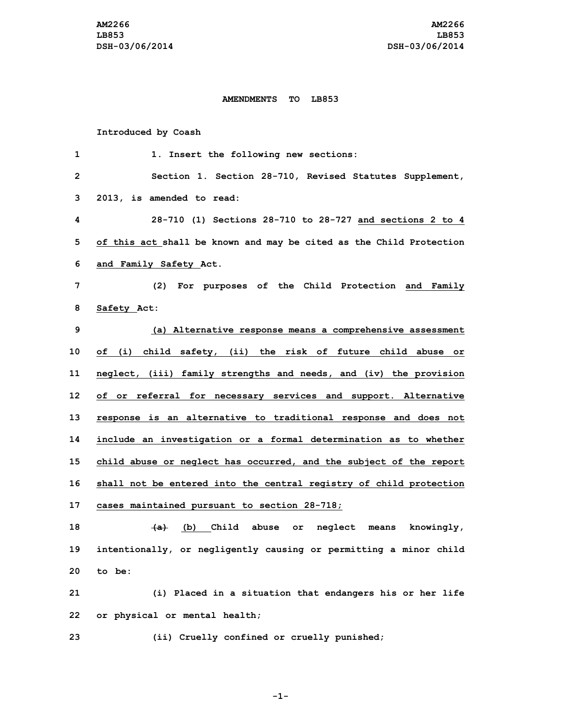## **AMENDMENTS TO LB853**

## **Introduced by Coash**

| 1            | 1. Insert the following new sections:                               |
|--------------|---------------------------------------------------------------------|
| $\mathbf{2}$ | Section 1. Section 28-710, Revised Statutes Supplement,             |
| 3            | 2013, is amended to read:                                           |
| 4            | 28-710 (1) Sections 28-710 to 28-727 and sections 2 to 4            |
| 5            | of this act shall be known and may be cited as the Child Protection |
| 6            | and Family Safety Act.                                              |
| 7            | (2) For purposes of the Child Protection and Family                 |
| 8            | Safety Act:                                                         |
| 9            | (a) Alternative response means a comprehensive assessment           |
| 10           | of (i) child safety, (ii) the risk of future child abuse or         |
| 11           | neglect, (iii) family strengths and needs, and (iv) the provision   |
| 12           | of or referral for necessary services and support. Alternative      |
| 13           | response is an alternative to traditional response and does not     |
| 14           | include an investigation or a formal determination as to whether    |
| 15           | child abuse or neglect has occurred, and the subject of the report  |
| 16           | shall not be entered into the central registry of child protection  |
| 17           | cases maintained pursuant to section 28-718;                        |
| 18           | $\overline{a}$ (b) Child abuse or neglect means knowingly,          |
| 19           | intentionally, or negligently causing or permitting a minor child   |
| 20           | to be:                                                              |
| 21           | (i) Placed in a situation that endangers his or her life            |
| 22           | or physical or mental health;                                       |
| 23           | (ii) Cruelly confined or cruelly punished;                          |

**-1-**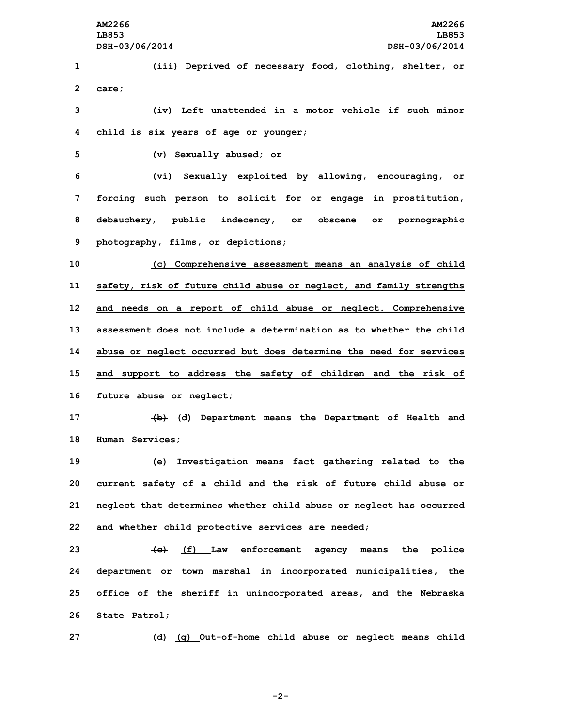**1 (iii) Deprived of necessary food, clothing, shelter, or 2 care;**

**3 (iv) Left unattended in <sup>a</sup> motor vehicle if such minor 4 child is six years of age or younger;**

**5 (v) Sexually abused; or**

 **(vi) Sexually exploited by allowing, encouraging, or forcing such person to solicit for or engage in prostitution, debauchery, public indecency, or obscene or pornographic photography, films, or depictions;**

 **(c) Comprehensive assessment means an analysis of child safety, risk of future child abuse or neglect, and family strengths and needs on <sup>a</sup> report of child abuse or neglect. Comprehensive assessment does not include a determination as to whether the child abuse or neglect occurred but does determine the need for services and support to address the safety of children and the risk of future abuse or neglect;**

**17 (b) (d) Department means the Department of Health and 18 Human Services;**

 **(e) Investigation means fact gathering related to the current safety of <sup>a</sup> child and the risk of future child abuse or neglect that determines whether child abuse or neglect has occurred and whether child protective services are needed;**

 **(c) (f) Law enforcement agency means the police department or town marshal in incorporated municipalities, the office of the sheriff in unincorporated areas, and the Nebraska State Patrol;**

**27 (d) (g) Out-of-home child abuse or neglect means child**

**-2-**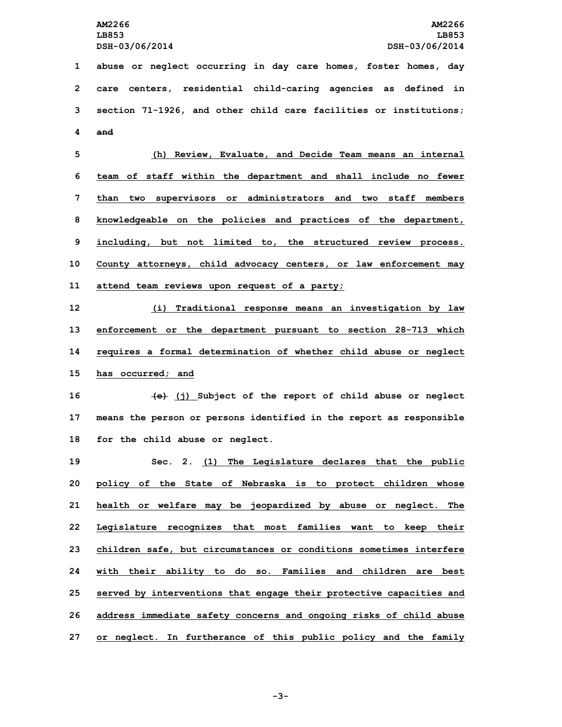**abuse or neglect occurring in day care homes, foster homes, day care centers, residential child-caring agencies as defined in section 71-1926, and other child care facilities or institutions; 4 and**

 **(h) Review, Evaluate, and Decide Team means an internal team of staff within the department and shall include no fewer than two supervisors or administrators and two staff members knowledgeable on the policies and practices of the department, including, but not limited to, the structured review process. County attorneys, child advocacy centers, or law enforcement may attend team reviews upon request of <sup>a</sup> party;**

 **(i) Traditional response means an investigation by law enforcement or the department pursuant to section 28-713 which requires <sup>a</sup> formal determination of whether child abuse or neglect has occurred; and**

**16 (e) (j) Subject of the report of child abuse or neglect 17 means the person or persons identified in the report as responsible 18 for the child abuse or neglect.**

 **Sec. 2. (1) The Legislature declares that the public policy of the State of Nebraska is to protect children whose health or welfare may be jeopardized by abuse or neglect. The Legislature recognizes that most families want to keep their children safe, but circumstances or conditions sometimes interfere with their ability to do so. Families and children are best served by interventions that engage their protective capacities and address immediate safety concerns and ongoing risks of child abuse or neglect. In furtherance of this public policy and the family**

**-3-**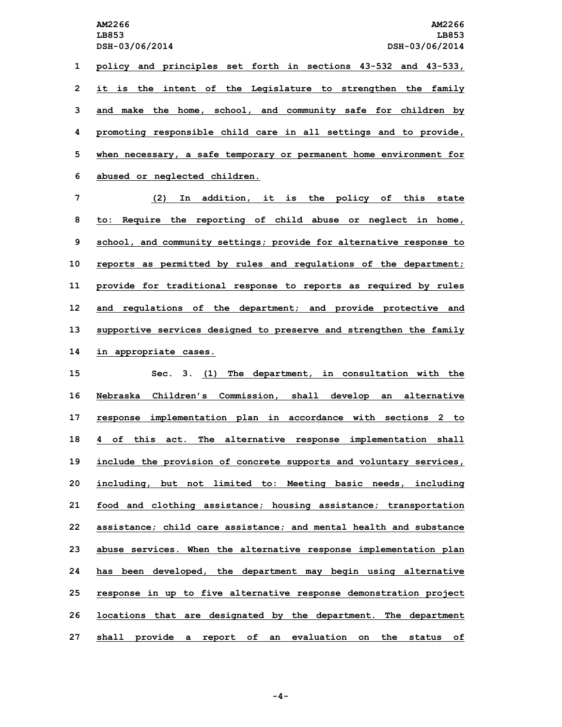**AM2266 AM2266 LB853 LB853 DSH-03/06/2014 DSH-03/06/2014 policy and principles set forth in sections 43-532 and 43-533, it is the intent of the Legislature to strengthen the family and make the home, school, and community safe for children by promoting responsible child care in all settings and to provide, when necessary, <sup>a</sup> safe temporary or permanent home environment for abused or neglected children.**

 **(2) In addition, it is the policy of this state to: Require the reporting of child abuse or neglect in home, school, and community settings; provide for alternative response to reports as permitted by rules and regulations of the department; provide for traditional response to reports as required by rules and regulations of the department; and provide protective and supportive services designed to preserve and strengthen the family in appropriate cases.**

 **Sec. 3. (1) The department, in consultation with the Nebraska Children's Commission, shall develop an alternative response implementation plan in accordance with sections 2 to 4 of this act. The alternative response implementation shall include the provision of concrete supports and voluntary services, including, but not limited to: Meeting basic needs, including food and clothing assistance; housing assistance; transportation assistance; child care assistance; and mental health and substance abuse services. When the alternative response implementation plan has been developed, the department may begin using alternative response in up to five alternative response demonstration project locations that are designated by the department. The department shall provide <sup>a</sup> report of an evaluation on the status of**

**-4-**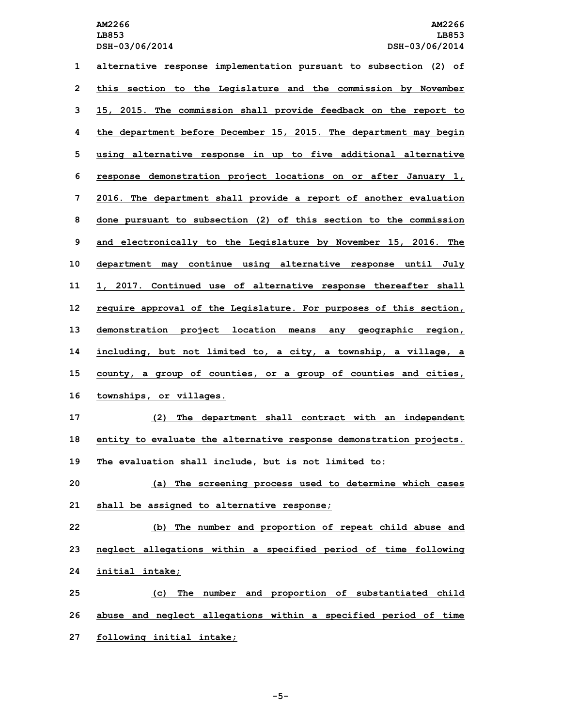**alternative response implementation pursuant to subsection (2) of this section to the Legislature and the commission by November 15, 2015. The commission shall provide feedback on the report to the department before December 15, 2015. The department may begin using alternative response in up to five additional alternative response demonstration project locations on or after January 1, 2016. The department shall provide <sup>a</sup> report of another evaluation done pursuant to subsection (2) of this section to the commission and electronically to the Legislature by November 15, 2016. The department may continue using alternative response until July 1, 2017. Continued use of alternative response thereafter shall require approval of the Legislature. For purposes of this section, demonstration project location means any geographic region, including, but not limited to, <sup>a</sup> city, <sup>a</sup> township, <sup>a</sup> village, <sup>a</sup> county, <sup>a</sup> group of counties, or <sup>a</sup> group of counties and cities, townships, or villages. (2) The department shall contract with an independent entity to evaluate the alternative response demonstration projects. The evaluation shall include, but is not limited to: (a) The screening process used to determine which cases shall be assigned to alternative response; (b) The number and proportion of repeat child abuse and neglect allegations within <sup>a</sup> specified period of time following initial intake;**

**25 (c) The number and proportion of substantiated child 26 abuse and neglect allegations within <sup>a</sup> specified period of time 27 following initial intake;**

**-5-**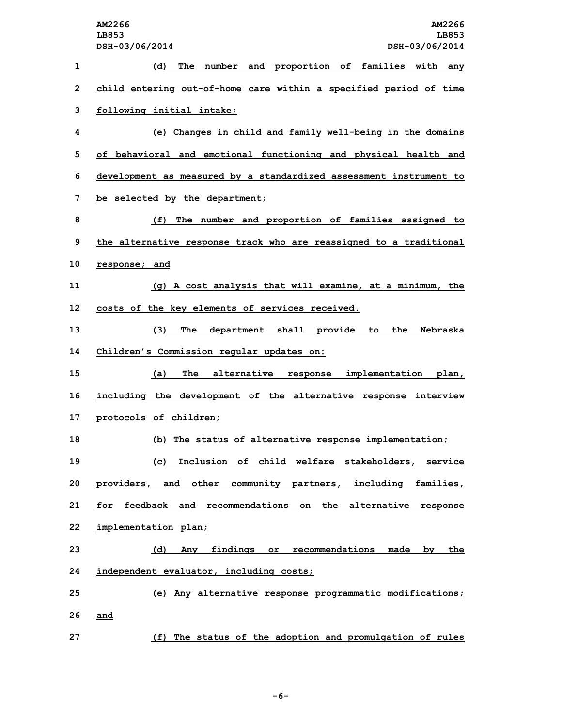**AM2266 AM2266 LB853 LB853 DSH-03/06/2014 DSH-03/06/2014 (d) The number and proportion of families with any child entering out-of-home care within <sup>a</sup> specified period of time following initial intake; (e) Changes in child and family well-being in the domains of behavioral and emotional functioning and physical health and development as measured by <sup>a</sup> standardized assessment instrument to be selected by the department; (f) The number and proportion of families assigned to the alternative response track who are reassigned to <sup>a</sup> traditional response; and (g) <sup>A</sup> cost analysis that will examine, at <sup>a</sup> minimum, the costs of the key elements of services received. (3) The department shall provide to the Nebraska Children's Commission regular updates on: (a) The alternative response implementation plan, including the development of the alternative response interview protocols of children; (b) The status of alternative response implementation; (c) Inclusion of child welfare stakeholders, service providers, and other community partners, including families, for feedback and recommendations on the alternative response implementation plan; (d) Any findings or recommendations made by the independent evaluator, including costs; (e) Any alternative response programmatic modifications; 26 and (f) The status of the adoption and promulgation of rules**

**-6-**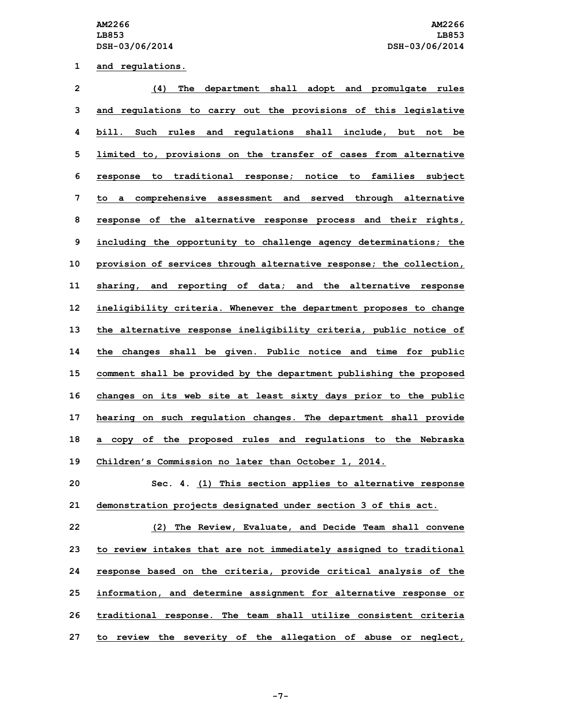**1 and regulations.**

| $\overline{2}$ | The department shall adopt and promulgate rules<br>(4)              |
|----------------|---------------------------------------------------------------------|
| 3              | and regulations to carry out the provisions of this legislative     |
| 4              | bill. Such rules and regulations shall include, but not be          |
| 5              | limited to, provisions on the transfer of cases from alternative    |
| 6              | response to traditional response; notice to families subject        |
| 7              | to a comprehensive assessment and served through alternative        |
| 8              | response of the alternative response process and their rights,      |
| 9              | including the opportunity to challenge agency determinations; the   |
| 10             | provision of services through alternative response; the collection, |
| 11             | sharing, and reporting of data; and the alternative response        |
| 12             | ineligibility criteria. Whenever the department proposes to change  |
| 13             | the alternative response ineligibility criteria, public notice of   |
| 14             | the changes shall be given. Public notice and time for public       |
| 15             | comment shall be provided by the department publishing the proposed |
| 16             | changes on its web site at least sixty days prior to the public     |
| 17             | hearing on such regulation changes. The department shall provide    |
| 18             | a copy of the proposed rules and regulations to the Nebraska        |
| 19             | Children's Commission no later than October 1, 2014.                |
| 20             | Sec. 4. (1) This section applies to alternative response            |
| 21             | demonstration projects designated under section 3 of this act.      |
| 22             | (2) The Review, Evaluate, and Decide Team shall convene             |
| 23             | to review intakes that are not immediately assigned to traditional  |
| 24             | response based on the criteria, provide critical analysis of the    |
| 25             | information, and determine assignment for alternative response or   |
|                |                                                                     |

**26 traditional response. The team shall utilize consistent criteria**

**27 to review the severity of the allegation of abuse or neglect,**

**-7-**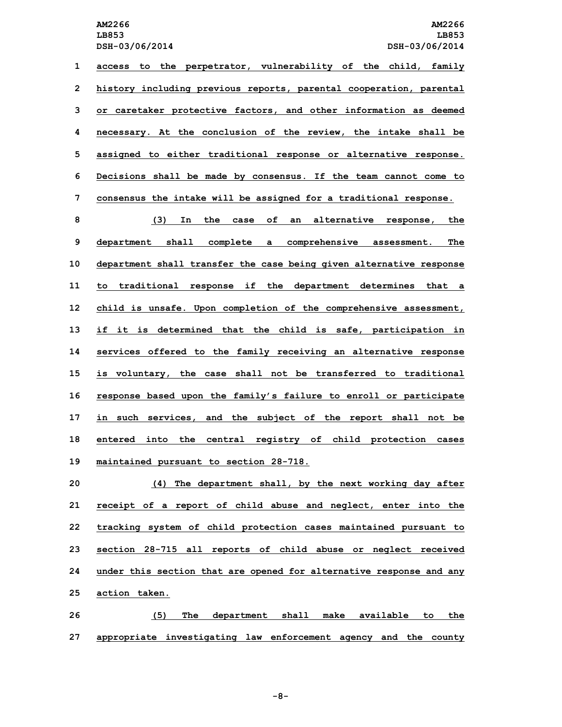**LB853 LB853**

 **access to the perpetrator, vulnerability of the child, family history including previous reports, parental cooperation, parental or caretaker protective factors, and other information as deemed necessary. At the conclusion of the review, the intake shall be assigned to either traditional response or alternative response. Decisions shall be made by consensus. If the team cannot come to consensus the intake will be assigned for <sup>a</sup> traditional response.**

 **(3) In the case of an alternative response, the department shall complete <sup>a</sup> comprehensive assessment. The department shall transfer the case being given alternative response to traditional response if the department determines that <sup>a</sup> child is unsafe. Upon completion of the comprehensive assessment, if it is determined that the child is safe, participation in services offered to the family receiving an alternative response is voluntary, the case shall not be transferred to traditional response based upon the family's failure to enroll or participate in such services, and the subject of the report shall not be entered into the central registry of child protection cases maintained pursuant to section 28-718.**

 **(4) The department shall, by the next working day after receipt of <sup>a</sup> report of child abuse and neglect, enter into the tracking system of child protection cases maintained pursuant to section 28-715 all reports of child abuse or neglect received under this section that are opened for alternative response and any action taken.**

**26 (5) The department shall make available to the 27 appropriate investigating law enforcement agency and the county**

**-8-**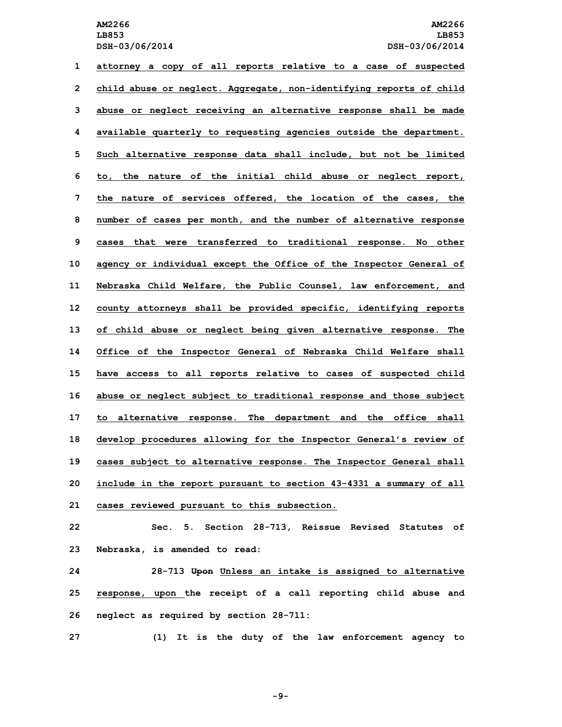**attorney <sup>a</sup> copy of all reports relative to <sup>a</sup> case of suspected child abuse or neglect. Aggregate, non-identifying reports of child abuse or neglect receiving an alternative response shall be made available quarterly to requesting agencies outside the department. Such alternative response data shall include, but not be limited to, the nature of the initial child abuse or neglect report, the nature of services offered, the location of the cases, the number of cases per month, and the number of alternative response cases that were transferred to traditional response. No other agency or individual except the Office of the Inspector General of Nebraska Child Welfare, the Public Counsel, law enforcement, and county attorneys shall be provided specific, identifying reports of child abuse or neglect being given alternative response. The Office of the Inspector General of Nebraska Child Welfare shall have access to all reports relative to cases of suspected child abuse or neglect subject to traditional response and those subject to alternative response. The department and the office shall develop procedures allowing for the Inspector General's review of cases subject to alternative response. The Inspector General shall include in the report pursuant to section 43-4331 <sup>a</sup> summary of all cases reviewed pursuant to this subsection. Sec. 5. Section 28-713, Reissue Revised Statutes of Nebraska, is amended to read:**

**24 28-713 Upon Unless an intake is assigned to alternative 25 response, upon the receipt of <sup>a</sup> call reporting child abuse and 26 neglect as required by section 28-711:**

**27 (1) It is the duty of the law enforcement agency to**

**-9-**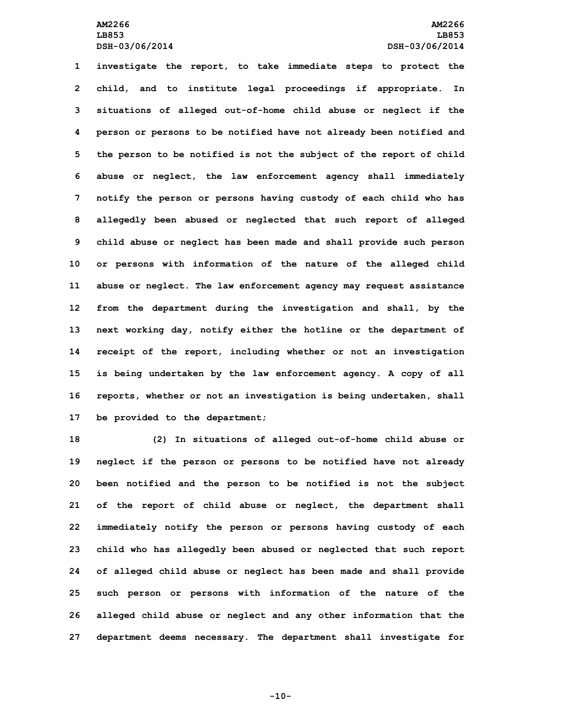**investigate the report, to take immediate steps to protect the child, and to institute legal proceedings if appropriate. In situations of alleged out-of-home child abuse or neglect if the person or persons to be notified have not already been notified and the person to be notified is not the subject of the report of child abuse or neglect, the law enforcement agency shall immediately notify the person or persons having custody of each child who has allegedly been abused or neglected that such report of alleged child abuse or neglect has been made and shall provide such person or persons with information of the nature of the alleged child abuse or neglect. The law enforcement agency may request assistance from the department during the investigation and shall, by the next working day, notify either the hotline or the department of receipt of the report, including whether or not an investigation is being undertaken by the law enforcement agency. <sup>A</sup> copy of all reports, whether or not an investigation is being undertaken, shall be provided to the department;**

 **(2) In situations of alleged out-of-home child abuse or neglect if the person or persons to be notified have not already been notified and the person to be notified is not the subject of the report of child abuse or neglect, the department shall immediately notify the person or persons having custody of each child who has allegedly been abused or neglected that such report of alleged child abuse or neglect has been made and shall provide such person or persons with information of the nature of the alleged child abuse or neglect and any other information that the department deems necessary. The department shall investigate for**

**-10-**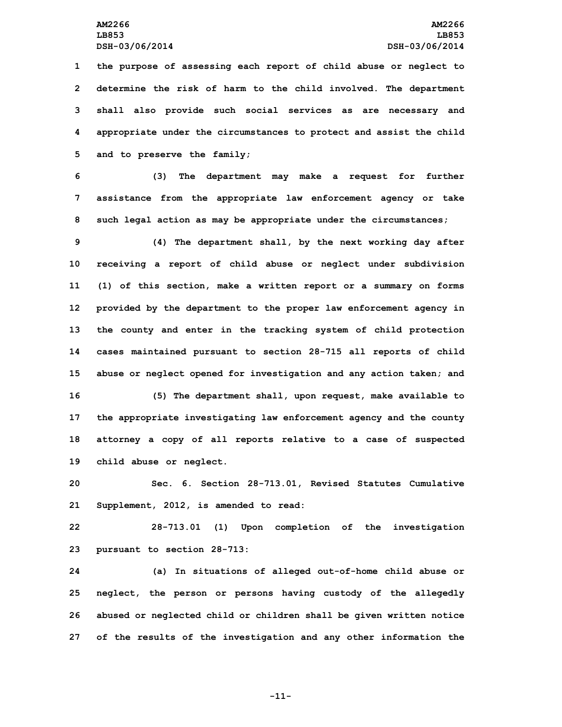**the purpose of assessing each report of child abuse or neglect to determine the risk of harm to the child involved. The department shall also provide such social services as are necessary and appropriate under the circumstances to protect and assist the child and to preserve the family;**

**6 (3) The department may make <sup>a</sup> request for further 7 assistance from the appropriate law enforcement agency or take 8 such legal action as may be appropriate under the circumstances;**

 **(4) The department shall, by the next working day after receiving <sup>a</sup> report of child abuse or neglect under subdivision (1) of this section, make <sup>a</sup> written report or <sup>a</sup> summary on forms provided by the department to the proper law enforcement agency in the county and enter in the tracking system of child protection cases maintained pursuant to section 28-715 all reports of child abuse or neglect opened for investigation and any action taken; and (5) The department shall, upon request, make available to the appropriate investigating law enforcement agency and the county attorney <sup>a</sup> copy of all reports relative to <sup>a</sup> case of suspected child abuse or neglect.**

**20 Sec. 6. Section 28-713.01, Revised Statutes Cumulative 21 Supplement, 2012, is amended to read:**

**22 28-713.01 (1) Upon completion of the investigation 23 pursuant to section 28-713:**

 **(a) In situations of alleged out-of-home child abuse or neglect, the person or persons having custody of the allegedly abused or neglected child or children shall be given written notice of the results of the investigation and any other information the**

**-11-**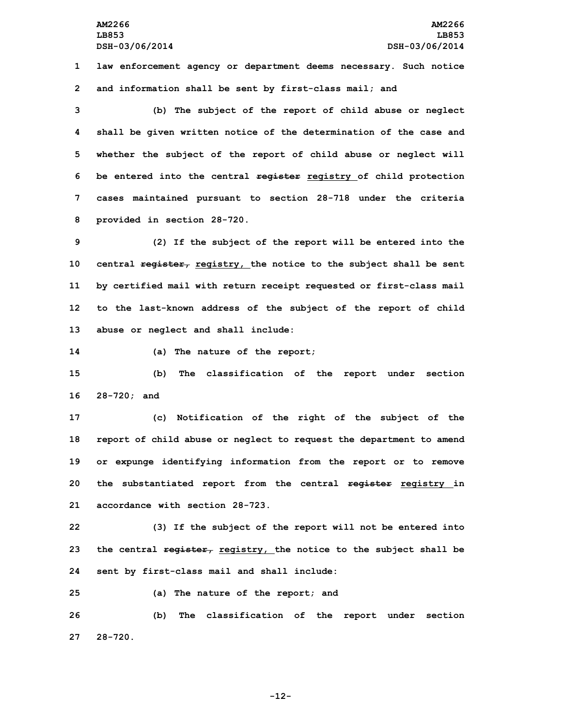**1 law enforcement agency or department deems necessary. Such notice 2 and information shall be sent by first-class mail; and**

 **(b) The subject of the report of child abuse or neglect shall be given written notice of the determination of the case and whether the subject of the report of child abuse or neglect will be entered into the central register registry of child protection cases maintained pursuant to section 28-718 under the criteria provided in section 28-720.**

 **(2) If the subject of the report will be entered into the central register, registry, the notice to the subject shall be sent by certified mail with return receipt requested or first-class mail to the last-known address of the subject of the report of child abuse or neglect and shall include:**

**14 (a) The nature of the report;**

**15 (b) The classification of the report under section 16 28-720; and**

 **(c) Notification of the right of the subject of the report of child abuse or neglect to request the department to amend or expunge identifying information from the report or to remove the substantiated report from the central register registry in accordance with section 28-723.**

**22 (3) If the subject of the report will not be entered into 23 the central register, registry, the notice to the subject shall be 24 sent by first-class mail and shall include:**

**25 (a) The nature of the report; and**

**26 (b) The classification of the report under section 27 28-720.**

**-12-**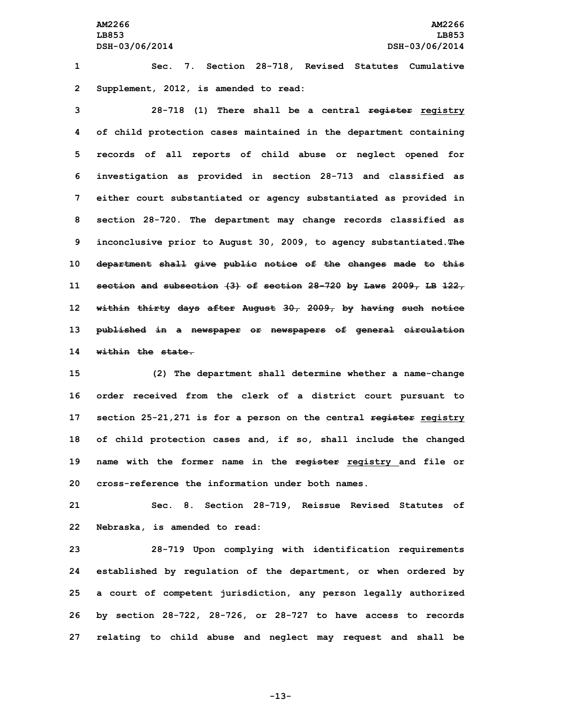**AM2266 AM2266 LB853 LB853 DSH-03/06/2014 DSH-03/06/2014**

**1 Sec. 7. Section 28-718, Revised Statutes Cumulative 2 Supplement, 2012, is amended to read:**

 **28-718 (1) There shall be <sup>a</sup> central register registry of child protection cases maintained in the department containing records of all reports of child abuse or neglect opened for investigation as provided in section 28-713 and classified as either court substantiated or agency substantiated as provided in section 28-720. The department may change records classified as inconclusive prior to August 30, 2009, to agency substantiated.The department shall give public notice of the changes made to this section and subsection (3) of section 28-720 by Laws 2009, LB 122, within thirty days after August 30, 2009, by having such notice published in <sup>a</sup> newspaper or newspapers of general circulation within the state.**

 **(2) The department shall determine whether <sup>a</sup> name-change order received from the clerk of <sup>a</sup> district court pursuant to section 25-21,271 is for <sup>a</sup> person on the central register registry of child protection cases and, if so, shall include the changed name with the former name in the register registry and file or cross-reference the information under both names.**

**21 Sec. 8. Section 28-719, Reissue Revised Statutes of 22 Nebraska, is amended to read:**

 **28-719 Upon complying with identification requirements established by regulation of the department, or when ordered by <sup>a</sup> court of competent jurisdiction, any person legally authorized by section 28-722, 28-726, or 28-727 to have access to records relating to child abuse and neglect may request and shall be**

**-13-**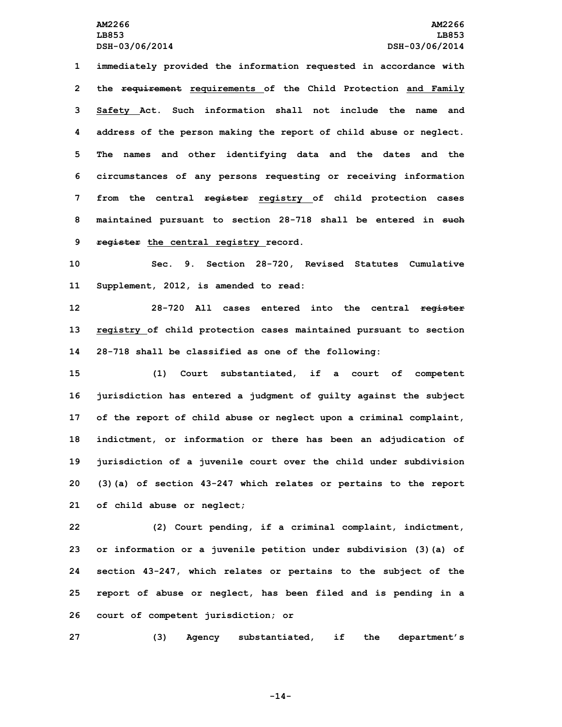**immediately provided the information requested in accordance with the requirement requirements of the Child Protection and Family Safety Act. Such information shall not include the name and address of the person making the report of child abuse or neglect. The names and other identifying data and the dates and the circumstances of any persons requesting or receiving information from the central register registry of child protection cases maintained pursuant to section 28-718 shall be entered in such register the central registry record.**

**10 Sec. 9. Section 28-720, Revised Statutes Cumulative 11 Supplement, 2012, is amended to read:**

**12 28-720 All cases entered into the central register 13 registry of child protection cases maintained pursuant to section 14 28-718 shall be classified as one of the following:**

 **(1) Court substantiated, if <sup>a</sup> court of competent jurisdiction has entered <sup>a</sup> judgment of guilty against the subject of the report of child abuse or neglect upon <sup>a</sup> criminal complaint, indictment, or information or there has been an adjudication of jurisdiction of <sup>a</sup> juvenile court over the child under subdivision (3)(a) of section 43-247 which relates or pertains to the report of child abuse or neglect;**

 **(2) Court pending, if <sup>a</sup> criminal complaint, indictment, or information or <sup>a</sup> juvenile petition under subdivision (3)(a) of section 43-247, which relates or pertains to the subject of the report of abuse or neglect, has been filed and is pending in <sup>a</sup> court of competent jurisdiction; or**

**27 (3) Agency substantiated, if the department's**

**-14-**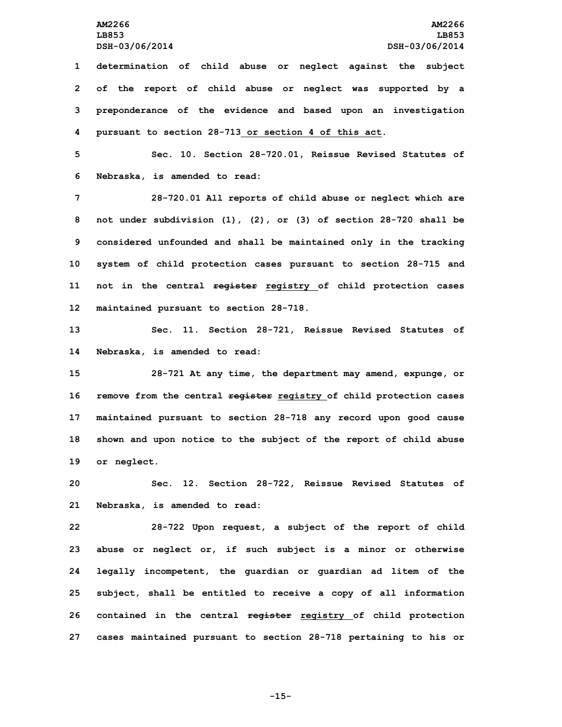**determination of child abuse or neglect against the subject of the report of child abuse or neglect was supported by <sup>a</sup> preponderance of the evidence and based upon an investigation pursuant to section 28-713 or section 4 of this act.**

**5 Sec. 10. Section 28-720.01, Reissue Revised Statutes of 6 Nebraska, is amended to read:**

 **28-720.01 All reports of child abuse or neglect which are not under subdivision (1), (2), or (3) of section 28-720 shall be considered unfounded and shall be maintained only in the tracking system of child protection cases pursuant to section 28-715 and not in the central register registry of child protection cases maintained pursuant to section 28-718.**

**13 Sec. 11. Section 28-721, Reissue Revised Statutes of 14 Nebraska, is amended to read:**

 **28-721 At any time, the department may amend, expunge, or remove from the central register registry of child protection cases maintained pursuant to section 28-718 any record upon good cause shown and upon notice to the subject of the report of child abuse or neglect.**

**20 Sec. 12. Section 28-722, Reissue Revised Statutes of 21 Nebraska, is amended to read:**

 **28-722 Upon request, <sup>a</sup> subject of the report of child abuse or neglect or, if such subject is <sup>a</sup> minor or otherwise legally incompetent, the guardian or guardian ad litem of the subject, shall be entitled to receive <sup>a</sup> copy of all information contained in the central register registry of child protection cases maintained pursuant to section 28-718 pertaining to his or**

**-15-**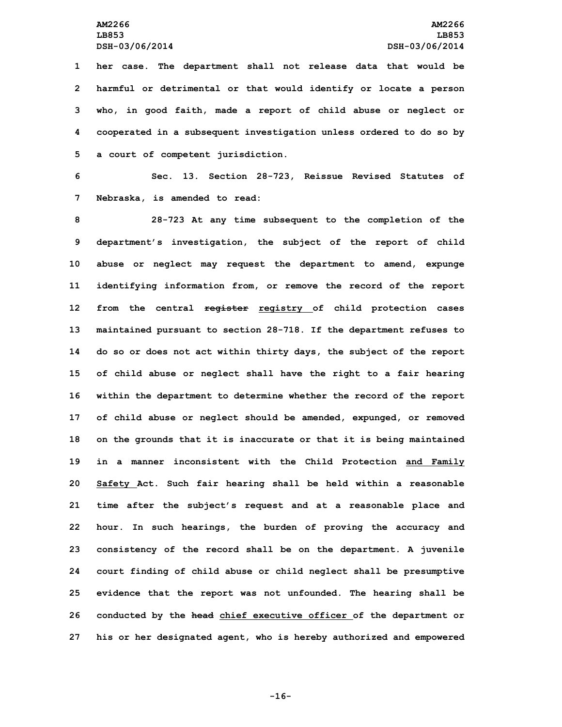**her case. The department shall not release data that would be harmful or detrimental or that would identify or locate <sup>a</sup> person who, in good faith, made <sup>a</sup> report of child abuse or neglect or cooperated in <sup>a</sup> subsequent investigation unless ordered to do so by <sup>a</sup> court of competent jurisdiction.**

**6 Sec. 13. Section 28-723, Reissue Revised Statutes of 7 Nebraska, is amended to read:**

 **28-723 At any time subsequent to the completion of the department's investigation, the subject of the report of child abuse or neglect may request the department to amend, expunge identifying information from, or remove the record of the report from the central register registry of child protection cases maintained pursuant to section 28-718. If the department refuses to do so or does not act within thirty days, the subject of the report of child abuse or neglect shall have the right to <sup>a</sup> fair hearing within the department to determine whether the record of the report of child abuse or neglect should be amended, expunged, or removed on the grounds that it is inaccurate or that it is being maintained in <sup>a</sup> manner inconsistent with the Child Protection and Family Safety Act. Such fair hearing shall be held within <sup>a</sup> reasonable time after the subject's request and at <sup>a</sup> reasonable place and hour. In such hearings, the burden of proving the accuracy and consistency of the record shall be on the department. <sup>A</sup> juvenile court finding of child abuse or child neglect shall be presumptive evidence that the report was not unfounded. The hearing shall be conducted by the head chief executive officer of the department or his or her designated agent, who is hereby authorized and empowered**

**-16-**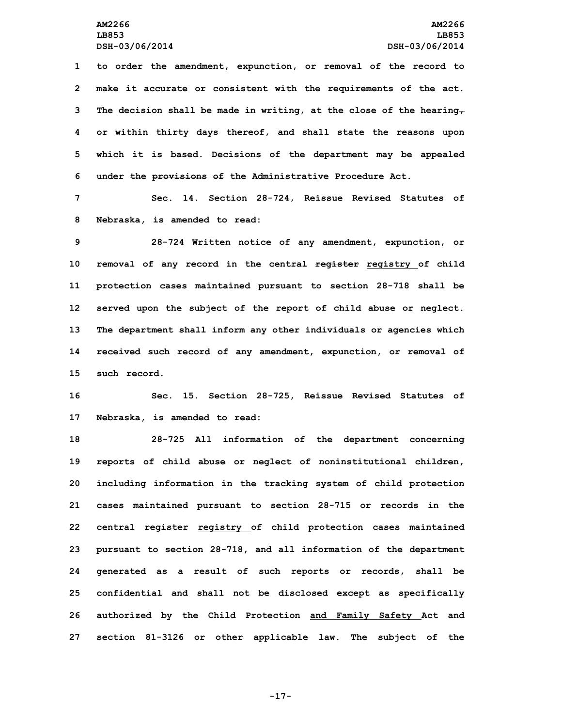**to order the amendment, expunction, or removal of the record to make it accurate or consistent with the requirements of the act. The decision shall be made in writing, at the close of the hearing, or within thirty days thereof, and shall state the reasons upon which it is based. Decisions of the department may be appealed under the provisions of the Administrative Procedure Act.**

**7 Sec. 14. Section 28-724, Reissue Revised Statutes of 8 Nebraska, is amended to read:**

 **28-724 Written notice of any amendment, expunction, or removal of any record in the central register registry of child protection cases maintained pursuant to section 28-718 shall be served upon the subject of the report of child abuse or neglect. The department shall inform any other individuals or agencies which received such record of any amendment, expunction, or removal of such record.**

**16 Sec. 15. Section 28-725, Reissue Revised Statutes of 17 Nebraska, is amended to read:**

 **28-725 All information of the department concerning reports of child abuse or neglect of noninstitutional children, including information in the tracking system of child protection cases maintained pursuant to section 28-715 or records in the central register registry of child protection cases maintained pursuant to section 28-718, and all information of the department generated as <sup>a</sup> result of such reports or records, shall be confidential and shall not be disclosed except as specifically authorized by the Child Protection and Family Safety Act and section 81-3126 or other applicable law. The subject of the**

**-17-**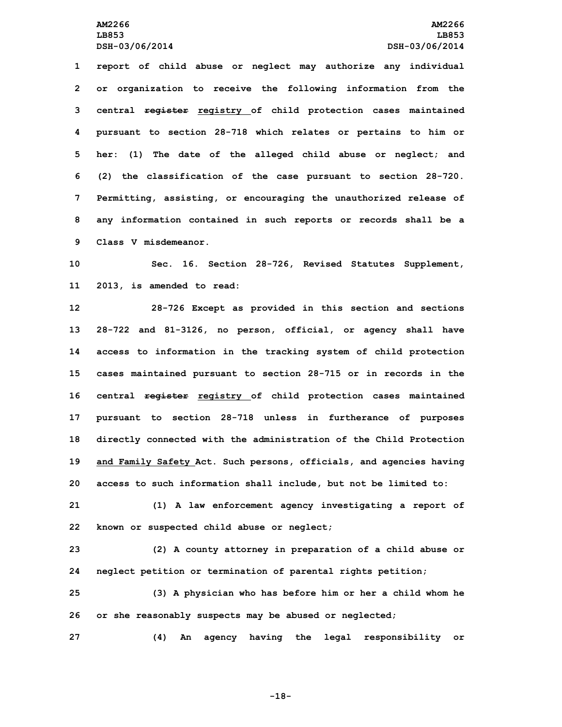**report of child abuse or neglect may authorize any individual or organization to receive the following information from the central register registry of child protection cases maintained pursuant to section 28-718 which relates or pertains to him or her: (1) The date of the alleged child abuse or neglect; and (2) the classification of the case pursuant to section 28-720. Permitting, assisting, or encouraging the unauthorized release of any information contained in such reports or records shall be <sup>a</sup> Class V misdemeanor.**

**10 Sec. 16. Section 28-726, Revised Statutes Supplement, 11 2013, is amended to read:**

 **28-726 Except as provided in this section and sections 28-722 and 81-3126, no person, official, or agency shall have access to information in the tracking system of child protection cases maintained pursuant to section 28-715 or in records in the central register registry of child protection cases maintained pursuant to section 28-718 unless in furtherance of purposes directly connected with the administration of the Child Protection and Family Safety Act. Such persons, officials, and agencies having access to such information shall include, but not be limited to:**

**21 (1) <sup>A</sup> law enforcement agency investigating <sup>a</sup> report of 22 known or suspected child abuse or neglect;**

**23 (2) <sup>A</sup> county attorney in preparation of <sup>a</sup> child abuse or 24 neglect petition or termination of parental rights petition;**

**25 (3) <sup>A</sup> physician who has before him or her <sup>a</sup> child whom he 26 or she reasonably suspects may be abused or neglected;**

**27 (4) An agency having the legal responsibility or**

**-18-**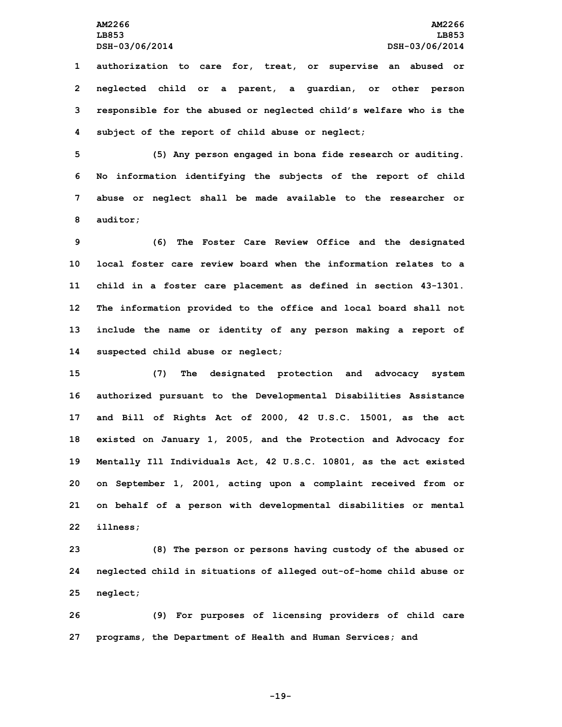**authorization to care for, treat, or supervise an abused or neglected child or <sup>a</sup> parent, <sup>a</sup> guardian, or other person responsible for the abused or neglected child's welfare who is the subject of the report of child abuse or neglect;**

 **(5) Any person engaged in bona fide research or auditing. No information identifying the subjects of the report of child abuse or neglect shall be made available to the researcher or 8 auditor;**

 **(6) The Foster Care Review Office and the designated local foster care review board when the information relates to a child in <sup>a</sup> foster care placement as defined in section 43-1301. The information provided to the office and local board shall not include the name or identity of any person making <sup>a</sup> report of suspected child abuse or neglect;**

 **(7) The designated protection and advocacy system authorized pursuant to the Developmental Disabilities Assistance and Bill of Rights Act of 2000, 42 U.S.C. 15001, as the act existed on January 1, 2005, and the Protection and Advocacy for Mentally Ill Individuals Act, 42 U.S.C. 10801, as the act existed on September 1, 2001, acting upon <sup>a</sup> complaint received from or on behalf of <sup>a</sup> person with developmental disabilities or mental 22 illness;**

**23 (8) The person or persons having custody of the abused or 24 neglected child in situations of alleged out-of-home child abuse or 25 neglect;**

**26 (9) For purposes of licensing providers of child care 27 programs, the Department of Health and Human Services; and**

**-19-**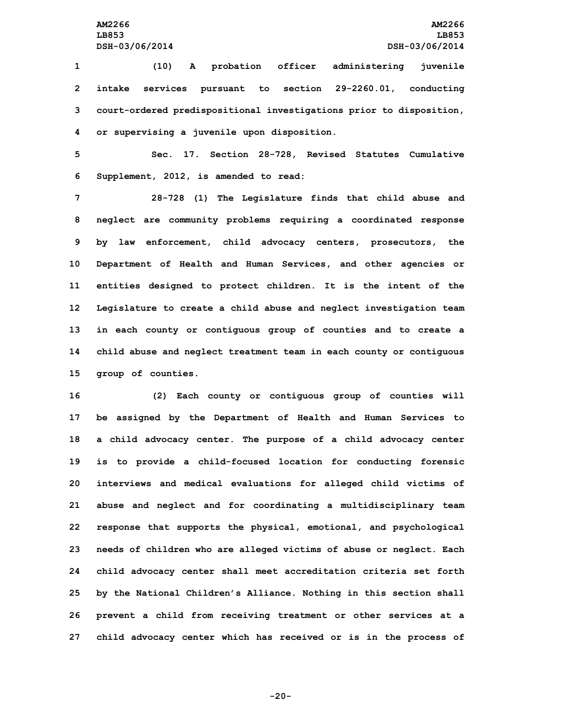**(10) <sup>A</sup> probation officer administering juvenile intake services pursuant to section 29-2260.01, conducting court-ordered predispositional investigations prior to disposition, or supervising <sup>a</sup> juvenile upon disposition.**

**5 Sec. 17. Section 28-728, Revised Statutes Cumulative 6 Supplement, 2012, is amended to read:**

 **28-728 (1) The Legislature finds that child abuse and neglect are community problems requiring <sup>a</sup> coordinated response by law enforcement, child advocacy centers, prosecutors, the Department of Health and Human Services, and other agencies or entities designed to protect children. It is the intent of the Legislature to create <sup>a</sup> child abuse and neglect investigation team in each county or contiguous group of counties and to create <sup>a</sup> child abuse and neglect treatment team in each county or contiguous group of counties.**

 **(2) Each county or contiguous group of counties will be assigned by the Department of Health and Human Services to <sup>a</sup> child advocacy center. The purpose of <sup>a</sup> child advocacy center is to provide <sup>a</sup> child-focused location for conducting forensic interviews and medical evaluations for alleged child victims of abuse and neglect and for coordinating <sup>a</sup> multidisciplinary team response that supports the physical, emotional, and psychological needs of children who are alleged victims of abuse or neglect. Each child advocacy center shall meet accreditation criteria set forth by the National Children's Alliance. Nothing in this section shall prevent <sup>a</sup> child from receiving treatment or other services at <sup>a</sup> child advocacy center which has received or is in the process of**

**-20-**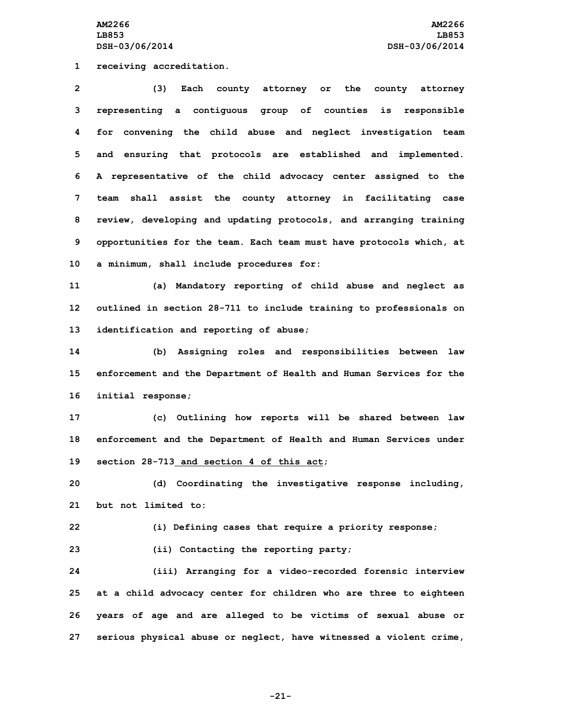**AM2266 AM2266 LB853 LB853 DSH-03/06/2014 DSH-03/06/2014**

**1 receiving accreditation.**

 **(3) Each county attorney or the county attorney representing <sup>a</sup> contiguous group of counties is responsible for convening the child abuse and neglect investigation team and ensuring that protocols are established and implemented. <sup>A</sup> representative of the child advocacy center assigned to the team shall assist the county attorney in facilitating case review, developing and updating protocols, and arranging training opportunities for the team. Each team must have protocols which, at <sup>a</sup> minimum, shall include procedures for:**

**11 (a) Mandatory reporting of child abuse and neglect as 12 outlined in section 28-711 to include training to professionals on 13 identification and reporting of abuse;**

**14 (b) Assigning roles and responsibilities between law 15 enforcement and the Department of Health and Human Services for the 16 initial response;**

**17 (c) Outlining how reports will be shared between law 18 enforcement and the Department of Health and Human Services under 19 section 28-713 and section 4 of this act;**

**20 (d) Coordinating the investigative response including, 21 but not limited to:**

**22 (i) Defining cases that require <sup>a</sup> priority response;**

**23 (ii) Contacting the reporting party;**

 **(iii) Arranging for <sup>a</sup> video-recorded forensic interview at <sup>a</sup> child advocacy center for children who are three to eighteen years of age and are alleged to be victims of sexual abuse or serious physical abuse or neglect, have witnessed <sup>a</sup> violent crime,**

**-21-**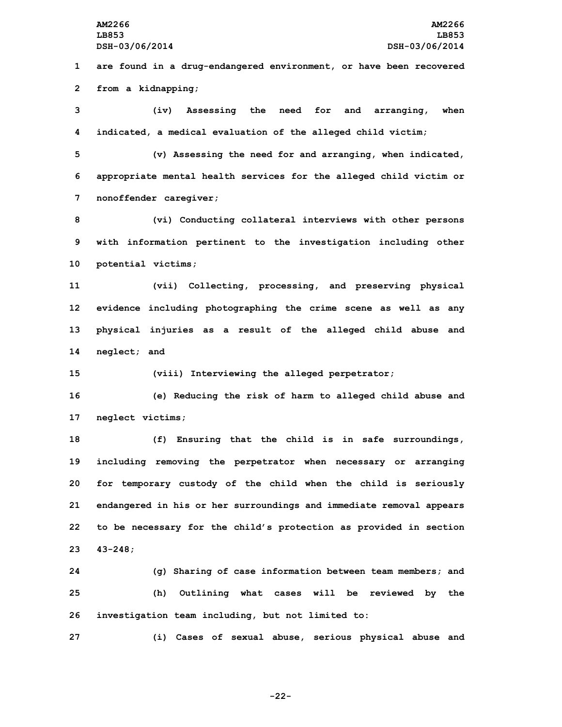**1 are found in <sup>a</sup> drug-endangered environment, or have been recovered 2 from <sup>a</sup> kidnapping;**

**3 (iv) Assessing the need for and arranging, when 4 indicated, <sup>a</sup> medical evaluation of the alleged child victim;**

**5 (v) Assessing the need for and arranging, when indicated, 6 appropriate mental health services for the alleged child victim or 7 nonoffender caregiver;**

**8 (vi) Conducting collateral interviews with other persons 9 with information pertinent to the investigation including other 10 potential victims;**

 **(vii) Collecting, processing, and preserving physical evidence including photographing the crime scene as well as any physical injuries as <sup>a</sup> result of the alleged child abuse and neglect; and**

**15 (viii) Interviewing the alleged perpetrator;**

**16 (e) Reducing the risk of harm to alleged child abuse and 17 neglect victims;**

 **(f) Ensuring that the child is in safe surroundings, including removing the perpetrator when necessary or arranging for temporary custody of the child when the child is seriously endangered in his or her surroundings and immediate removal appears to be necessary for the child's protection as provided in section 23 43-248;**

**24 (g) Sharing of case information between team members; and 25 (h) Outlining what cases will be reviewed by the 26 investigation team including, but not limited to:**

**27 (i) Cases of sexual abuse, serious physical abuse and**

**-22-**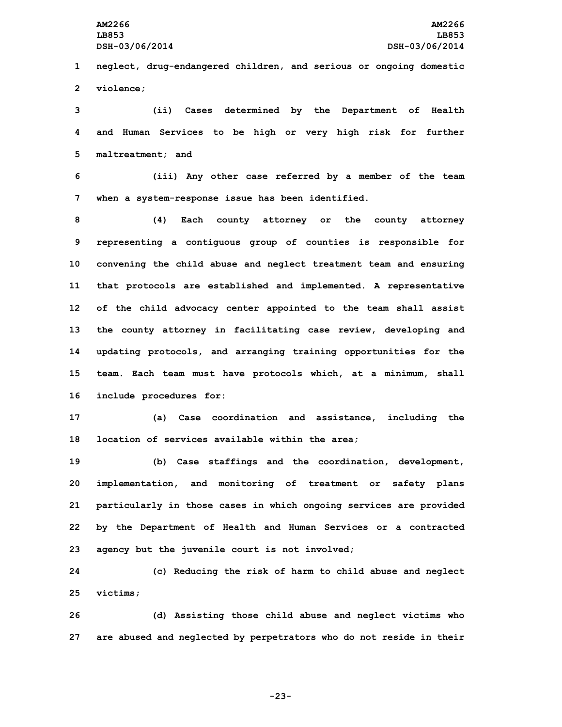**1 neglect, drug-endangered children, and serious or ongoing domestic 2 violence;**

**3 (ii) Cases determined by the Department of Health 4 and Human Services to be high or very high risk for further 5 maltreatment; and**

**6 (iii) Any other case referred by <sup>a</sup> member of the team 7 when <sup>a</sup> system-response issue has been identified.**

 **(4) Each county attorney or the county attorney representing <sup>a</sup> contiguous group of counties is responsible for convening the child abuse and neglect treatment team and ensuring that protocols are established and implemented. <sup>A</sup> representative of the child advocacy center appointed to the team shall assist the county attorney in facilitating case review, developing and updating protocols, and arranging training opportunities for the team. Each team must have protocols which, at <sup>a</sup> minimum, shall include procedures for:**

**17 (a) Case coordination and assistance, including the 18 location of services available within the area;**

 **(b) Case staffings and the coordination, development, implementation, and monitoring of treatment or safety plans particularly in those cases in which ongoing services are provided by the Department of Health and Human Services or <sup>a</sup> contracted agency but the juvenile court is not involved;**

**24 (c) Reducing the risk of harm to child abuse and neglect 25 victims;**

**26 (d) Assisting those child abuse and neglect victims who 27 are abused and neglected by perpetrators who do not reside in their**

**-23-**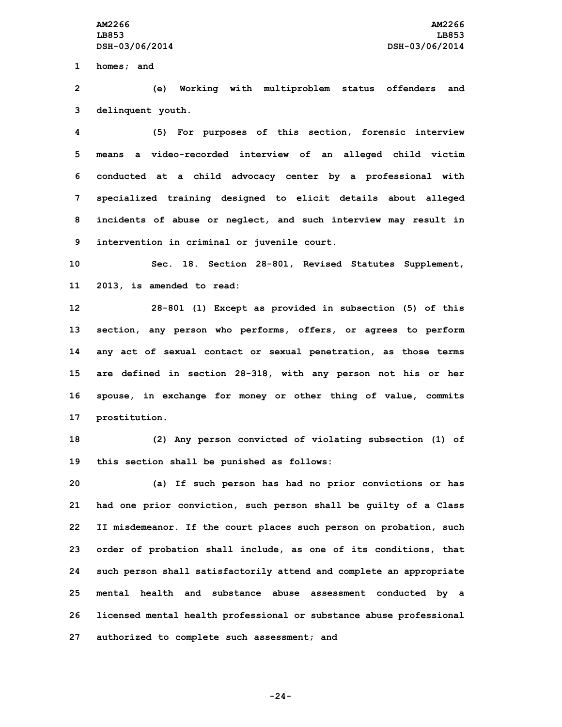**1 homes; and**

**2 (e) Working with multiproblem status offenders and 3 delinquent youth.**

 **(5) For purposes of this section, forensic interview means <sup>a</sup> video-recorded interview of an alleged child victim conducted at <sup>a</sup> child advocacy center by <sup>a</sup> professional with specialized training designed to elicit details about alleged incidents of abuse or neglect, and such interview may result in intervention in criminal or juvenile court.**

**10 Sec. 18. Section 28-801, Revised Statutes Supplement, 11 2013, is amended to read:**

 **28-801 (1) Except as provided in subsection (5) of this section, any person who performs, offers, or agrees to perform any act of sexual contact or sexual penetration, as those terms are defined in section 28-318, with any person not his or her spouse, in exchange for money or other thing of value, commits prostitution.**

**18 (2) Any person convicted of violating subsection (1) of 19 this section shall be punished as follows:**

 **(a) If such person has had no prior convictions or has had one prior conviction, such person shall be guilty of <sup>a</sup> Class II misdemeanor. If the court places such person on probation, such order of probation shall include, as one of its conditions, that such person shall satisfactorily attend and complete an appropriate mental health and substance abuse assessment conducted by <sup>a</sup> licensed mental health professional or substance abuse professional authorized to complete such assessment; and**

**-24-**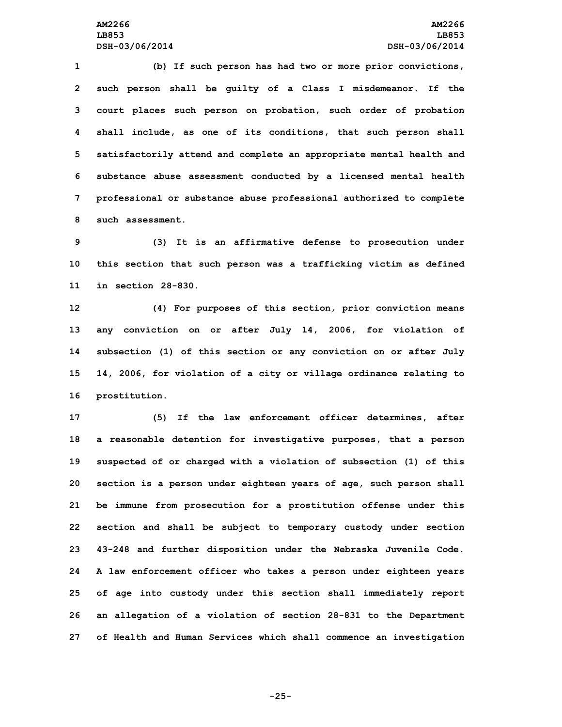**(b) If such person has had two or more prior convictions, such person shall be guilty of <sup>a</sup> Class <sup>I</sup> misdemeanor. If the court places such person on probation, such order of probation shall include, as one of its conditions, that such person shall satisfactorily attend and complete an appropriate mental health and substance abuse assessment conducted by <sup>a</sup> licensed mental health professional or substance abuse professional authorized to complete such assessment.**

**9 (3) It is an affirmative defense to prosecution under 10 this section that such person was <sup>a</sup> trafficking victim as defined 11 in section 28-830.**

 **(4) For purposes of this section, prior conviction means any conviction on or after July 14, 2006, for violation of subsection (1) of this section or any conviction on or after July 14, 2006, for violation of <sup>a</sup> city or village ordinance relating to prostitution.**

 **(5) If the law enforcement officer determines, after <sup>a</sup> reasonable detention for investigative purposes, that <sup>a</sup> person suspected of or charged with <sup>a</sup> violation of subsection (1) of this section is <sup>a</sup> person under eighteen years of age, such person shall be immune from prosecution for <sup>a</sup> prostitution offense under this section and shall be subject to temporary custody under section 43-248 and further disposition under the Nebraska Juvenile Code. <sup>A</sup> law enforcement officer who takes <sup>a</sup> person under eighteen years of age into custody under this section shall immediately report an allegation of <sup>a</sup> violation of section 28-831 to the Department of Health and Human Services which shall commence an investigation**

**-25-**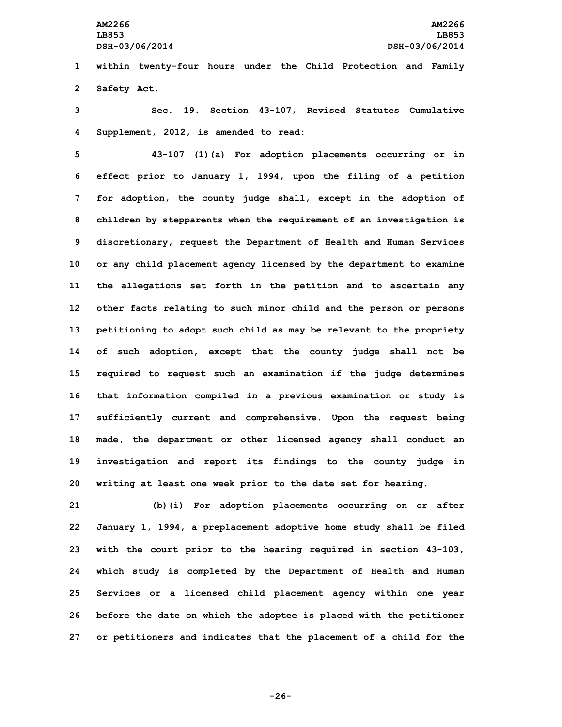**1 within twenty-four hours under the Child Protection and Family 2 Safety Act.**

**3 Sec. 19. Section 43-107, Revised Statutes Cumulative 4 Supplement, 2012, is amended to read:**

 **43-107 (1)(a) For adoption placements occurring or in effect prior to January 1, 1994, upon the filing of <sup>a</sup> petition for adoption, the county judge shall, except in the adoption of children by stepparents when the requirement of an investigation is discretionary, request the Department of Health and Human Services or any child placement agency licensed by the department to examine the allegations set forth in the petition and to ascertain any other facts relating to such minor child and the person or persons petitioning to adopt such child as may be relevant to the propriety of such adoption, except that the county judge shall not be required to request such an examination if the judge determines that information compiled in <sup>a</sup> previous examination or study is sufficiently current and comprehensive. Upon the request being made, the department or other licensed agency shall conduct an investigation and report its findings to the county judge in writing at least one week prior to the date set for hearing.**

 **(b)(i) For adoption placements occurring on or after January 1, 1994, <sup>a</sup> preplacement adoptive home study shall be filed with the court prior to the hearing required in section 43-103, which study is completed by the Department of Health and Human Services or <sup>a</sup> licensed child placement agency within one year before the date on which the adoptee is placed with the petitioner or petitioners and indicates that the placement of <sup>a</sup> child for the**

**-26-**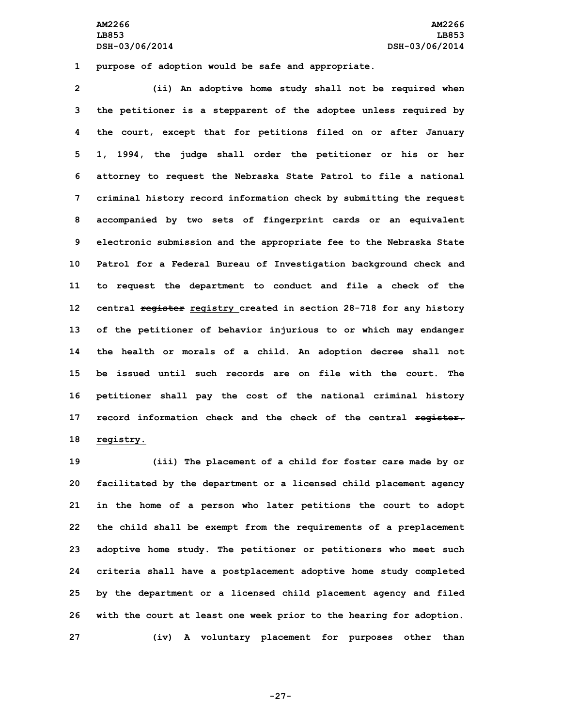**AM2266 AM2266 LB853 LB853 DSH-03/06/2014 DSH-03/06/2014**

**1 purpose of adoption would be safe and appropriate.**

 **(ii) An adoptive home study shall not be required when the petitioner is <sup>a</sup> stepparent of the adoptee unless required by the court, except that for petitions filed on or after January 1, 1994, the judge shall order the petitioner or his or her attorney to request the Nebraska State Patrol to file <sup>a</sup> national criminal history record information check by submitting the request accompanied by two sets of fingerprint cards or an equivalent electronic submission and the appropriate fee to the Nebraska State Patrol for <sup>a</sup> Federal Bureau of Investigation background check and to request the department to conduct and file <sup>a</sup> check of the central register registry created in section 28-718 for any history of the petitioner of behavior injurious to or which may endanger the health or morals of <sup>a</sup> child. An adoption decree shall not be issued until such records are on file with the court. The petitioner shall pay the cost of the national criminal history record information check and the check of the central register. registry.**

 **(iii) The placement of <sup>a</sup> child for foster care made by or facilitated by the department or <sup>a</sup> licensed child placement agency in the home of <sup>a</sup> person who later petitions the court to adopt the child shall be exempt from the requirements of <sup>a</sup> preplacement adoptive home study. The petitioner or petitioners who meet such criteria shall have <sup>a</sup> postplacement adoptive home study completed by the department or <sup>a</sup> licensed child placement agency and filed with the court at least one week prior to the hearing for adoption. (iv) <sup>A</sup> voluntary placement for purposes other than**

**-27-**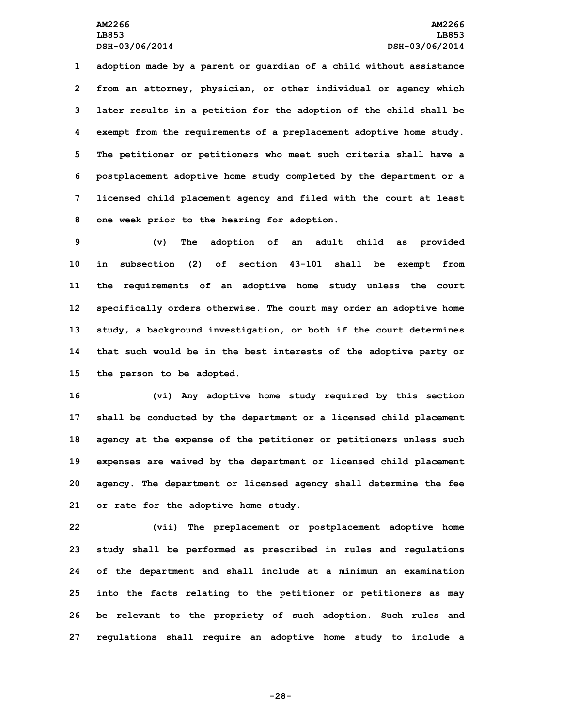**adoption made by <sup>a</sup> parent or guardian of <sup>a</sup> child without assistance from an attorney, physician, or other individual or agency which later results in <sup>a</sup> petition for the adoption of the child shall be exempt from the requirements of <sup>a</sup> preplacement adoptive home study. The petitioner or petitioners who meet such criteria shall have <sup>a</sup> postplacement adoptive home study completed by the department or <sup>a</sup> licensed child placement agency and filed with the court at least one week prior to the hearing for adoption.**

 **(v) The adoption of an adult child as provided in subsection (2) of section 43-101 shall be exempt from the requirements of an adoptive home study unless the court specifically orders otherwise. The court may order an adoptive home study, <sup>a</sup> background investigation, or both if the court determines that such would be in the best interests of the adoptive party or the person to be adopted.**

 **(vi) Any adoptive home study required by this section shall be conducted by the department or <sup>a</sup> licensed child placement agency at the expense of the petitioner or petitioners unless such expenses are waived by the department or licensed child placement agency. The department or licensed agency shall determine the fee or rate for the adoptive home study.**

 **(vii) The preplacement or postplacement adoptive home study shall be performed as prescribed in rules and regulations of the department and shall include at <sup>a</sup> minimum an examination into the facts relating to the petitioner or petitioners as may be relevant to the propriety of such adoption. Such rules and regulations shall require an adoptive home study to include <sup>a</sup>**

**-28-**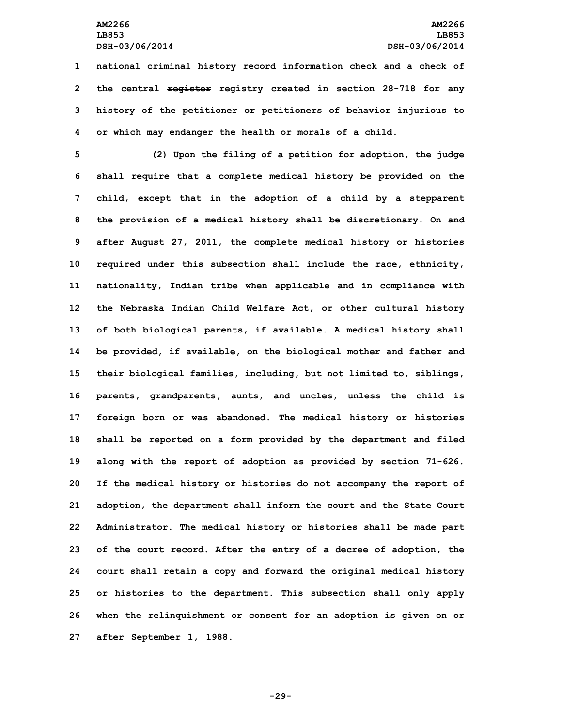**national criminal history record information check and <sup>a</sup> check of the central register registry created in section 28-718 for any history of the petitioner or petitioners of behavior injurious to or which may endanger the health or morals of <sup>a</sup> child.**

 **(2) Upon the filing of <sup>a</sup> petition for adoption, the judge shall require that <sup>a</sup> complete medical history be provided on the child, except that in the adoption of <sup>a</sup> child by <sup>a</sup> stepparent the provision of <sup>a</sup> medical history shall be discretionary. On and after August 27, 2011, the complete medical history or histories required under this subsection shall include the race, ethnicity, nationality, Indian tribe when applicable and in compliance with the Nebraska Indian Child Welfare Act, or other cultural history of both biological parents, if available. <sup>A</sup> medical history shall be provided, if available, on the biological mother and father and their biological families, including, but not limited to, siblings, parents, grandparents, aunts, and uncles, unless the child is foreign born or was abandoned. The medical history or histories shall be reported on <sup>a</sup> form provided by the department and filed along with the report of adoption as provided by section 71-626. If the medical history or histories do not accompany the report of adoption, the department shall inform the court and the State Court Administrator. The medical history or histories shall be made part of the court record. After the entry of <sup>a</sup> decree of adoption, the court shall retain <sup>a</sup> copy and forward the original medical history or histories to the department. This subsection shall only apply when the relinquishment or consent for an adoption is given on or after September 1, 1988.**

**-29-**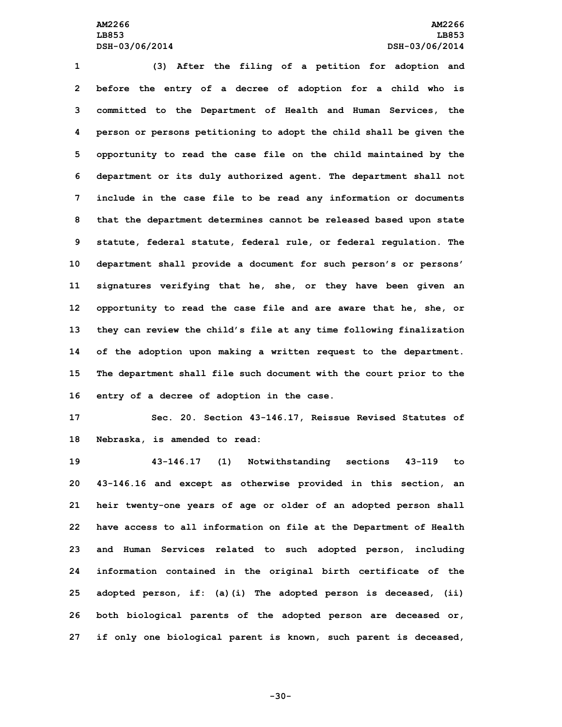## **AM2266 AM2266 LB853 LB853 DSH-03/06/2014 DSH-03/06/2014**

 **(3) After the filing of <sup>a</sup> petition for adoption and before the entry of <sup>a</sup> decree of adoption for <sup>a</sup> child who is committed to the Department of Health and Human Services, the person or persons petitioning to adopt the child shall be given the opportunity to read the case file on the child maintained by the department or its duly authorized agent. The department shall not include in the case file to be read any information or documents that the department determines cannot be released based upon state statute, federal statute, federal rule, or federal regulation. The department shall provide <sup>a</sup> document for such person's or persons' signatures verifying that he, she, or they have been given an opportunity to read the case file and are aware that he, she, or they can review the child's file at any time following finalization of the adoption upon making <sup>a</sup> written request to the department. The department shall file such document with the court prior to the entry of <sup>a</sup> decree of adoption in the case.**

**17 Sec. 20. Section 43-146.17, Reissue Revised Statutes of 18 Nebraska, is amended to read:**

 **43-146.17 (1) Notwithstanding sections 43-119 to 43-146.16 and except as otherwise provided in this section, an heir twenty-one years of age or older of an adopted person shall have access to all information on file at the Department of Health and Human Services related to such adopted person, including information contained in the original birth certificate of the adopted person, if: (a)(i) The adopted person is deceased, (ii) both biological parents of the adopted person are deceased or, if only one biological parent is known, such parent is deceased,**

**-30-**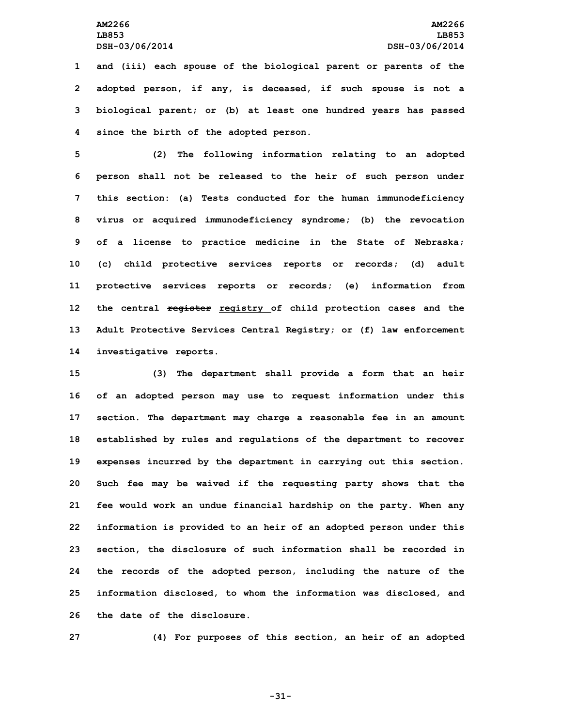**and (iii) each spouse of the biological parent or parents of the adopted person, if any, is deceased, if such spouse is not <sup>a</sup> biological parent; or (b) at least one hundred years has passed since the birth of the adopted person.**

 **(2) The following information relating to an adopted person shall not be released to the heir of such person under this section: (a) Tests conducted for the human immunodeficiency virus or acquired immunodeficiency syndrome; (b) the revocation of <sup>a</sup> license to practice medicine in the State of Nebraska; (c) child protective services reports or records; (d) adult protective services reports or records; (e) information from the central register registry of child protection cases and the Adult Protective Services Central Registry; or (f) law enforcement investigative reports.**

 **(3) The department shall provide <sup>a</sup> form that an heir of an adopted person may use to request information under this section. The department may charge <sup>a</sup> reasonable fee in an amount established by rules and regulations of the department to recover expenses incurred by the department in carrying out this section. Such fee may be waived if the requesting party shows that the fee would work an undue financial hardship on the party. When any information is provided to an heir of an adopted person under this section, the disclosure of such information shall be recorded in the records of the adopted person, including the nature of the information disclosed, to whom the information was disclosed, and the date of the disclosure.**

**27 (4) For purposes of this section, an heir of an adopted**

**-31-**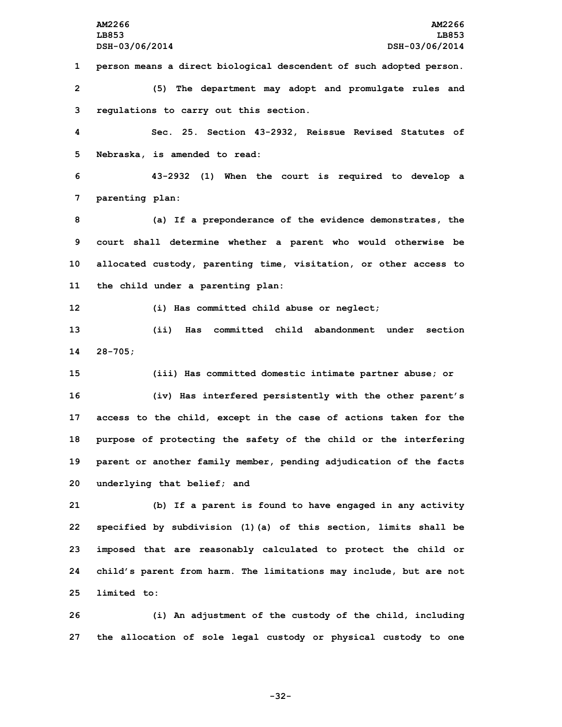**person means <sup>a</sup> direct biological descendent of such adopted person. (5) The department may adopt and promulgate rules and regulations to carry out this section. Sec. 25. Section 43-2932, Reissue Revised Statutes of Nebraska, is amended to read: 43-2932 (1) When the court is required to develop <sup>a</sup> parenting plan: (a) If <sup>a</sup> preponderance of the evidence demonstrates, the court shall determine whether <sup>a</sup> parent who would otherwise be allocated custody, parenting time, visitation, or other access to the child under <sup>a</sup> parenting plan: (i) Has committed child abuse or neglect; (ii) Has committed child abandonment under section 14 28-705; (iii) Has committed domestic intimate partner abuse; or (iv) Has interfered persistently with the other parent's access to the child, except in the case of actions taken for the purpose of protecting the safety of the child or the interfering parent or another family member, pending adjudication of the facts underlying that belief; and (b) If <sup>a</sup> parent is found to have engaged in any activity specified by subdivision (1)(a) of this section, limits shall be imposed that are reasonably calculated to protect the child or child's parent from harm. The limitations may include, but are not**

**25 limited to:**

**26 (i) An adjustment of the custody of the child, including 27 the allocation of sole legal custody or physical custody to one**

**-32-**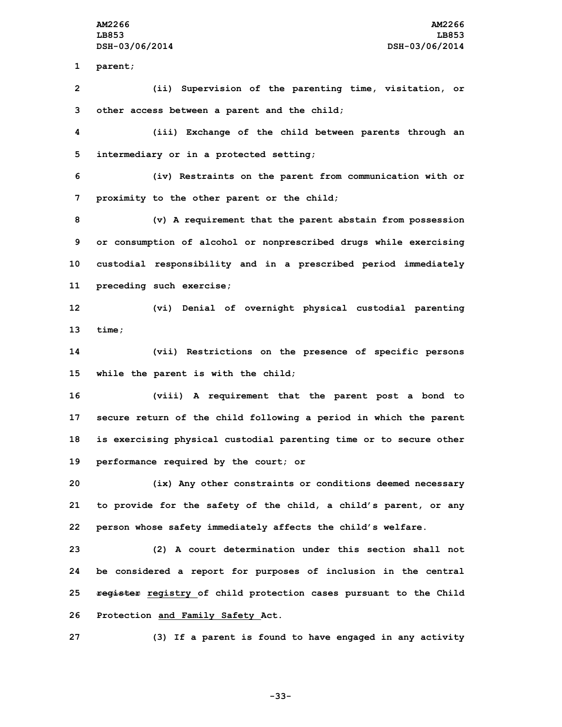**1 parent;**

**2 (ii) Supervision of the parenting time, visitation, or 3 other access between <sup>a</sup> parent and the child;**

**4 (iii) Exchange of the child between parents through an 5 intermediary or in <sup>a</sup> protected setting;**

**6 (iv) Restraints on the parent from communication with or 7 proximity to the other parent or the child;**

 **(v) <sup>A</sup> requirement that the parent abstain from possession or consumption of alcohol or nonprescribed drugs while exercising custodial responsibility and in <sup>a</sup> prescribed period immediately preceding such exercise;**

**12 (vi) Denial of overnight physical custodial parenting 13 time;**

**14 (vii) Restrictions on the presence of specific persons 15 while the parent is with the child;**

 **(viii) <sup>A</sup> requirement that the parent post <sup>a</sup> bond to secure return of the child following <sup>a</sup> period in which the parent is exercising physical custodial parenting time or to secure other performance required by the court; or**

**20 (ix) Any other constraints or conditions deemed necessary 21 to provide for the safety of the child, <sup>a</sup> child's parent, or any 22 person whose safety immediately affects the child's welfare.**

 **(2) A court determination under this section shall not be considered <sup>a</sup> report for purposes of inclusion in the central register registry of child protection cases pursuant to the Child Protection and Family Safety Act.**

**27 (3) If <sup>a</sup> parent is found to have engaged in any activity**

**-33-**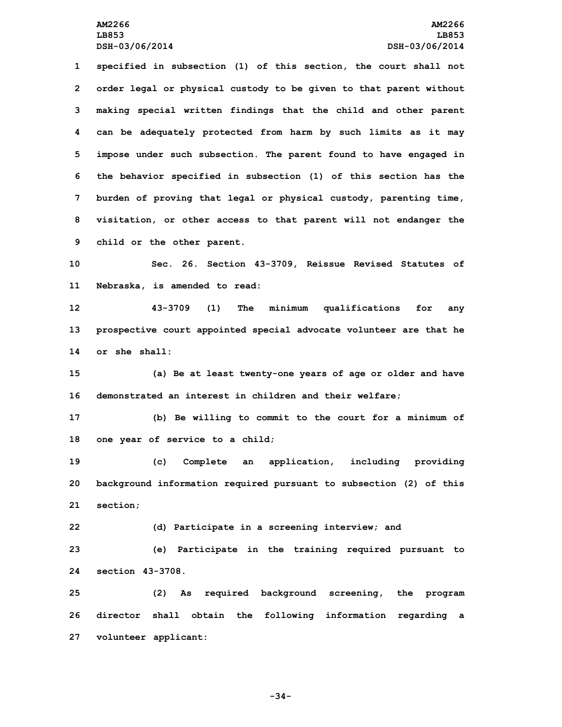**specified in subsection (1) of this section, the court shall not order legal or physical custody to be given to that parent without making special written findings that the child and other parent can be adequately protected from harm by such limits as it may impose under such subsection. The parent found to have engaged in the behavior specified in subsection (1) of this section has the burden of proving that legal or physical custody, parenting time, visitation, or other access to that parent will not endanger the child or the other parent.**

**10 Sec. 26. Section 43-3709, Reissue Revised Statutes of 11 Nebraska, is amended to read:**

**12 43-3709 (1) The minimum qualifications for any 13 prospective court appointed special advocate volunteer are that he 14 or she shall:**

**15 (a) Be at least twenty-one years of age or older and have 16 demonstrated an interest in children and their welfare;**

**17 (b) Be willing to commit to the court for <sup>a</sup> minimum of 18 one year of service to <sup>a</sup> child;**

**19 (c) Complete an application, including providing 20 background information required pursuant to subsection (2) of this 21 section;**

**22 (d) Participate in <sup>a</sup> screening interview; and**

**23 (e) Participate in the training required pursuant to 24 section 43-3708.**

**25 (2) As required background screening, the program 26 director shall obtain the following information regarding <sup>a</sup> 27 volunteer applicant:**

**-34-**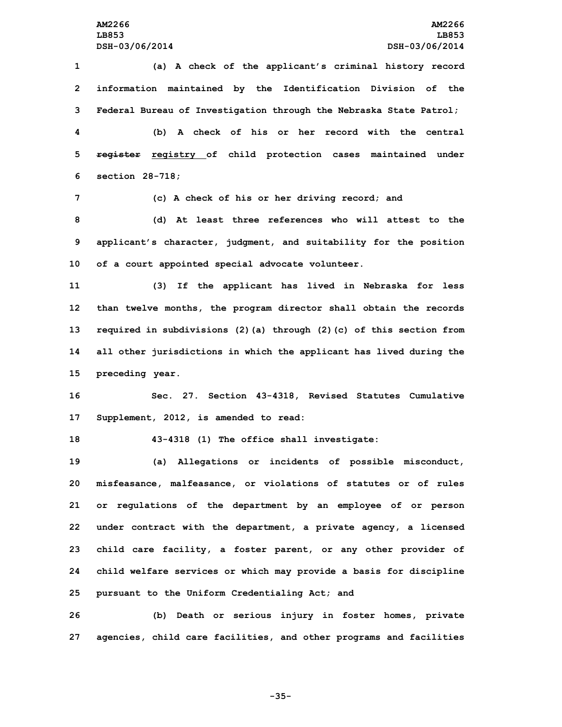**(a) <sup>A</sup> check of the applicant's criminal history record information maintained by the Identification Division of the Federal Bureau of Investigation through the Nebraska State Patrol; (b) A check of his or her record with the central register registry of child protection cases maintained under section 28-718; (c) <sup>A</sup> check of his or her driving record; and (d) At least three references who will attest to the applicant's character, judgment, and suitability for the position of <sup>a</sup> court appointed special advocate volunteer. (3) If the applicant has lived in Nebraska for less than twelve months, the program director shall obtain the records required in subdivisions (2)(a) through (2)(c) of this section from all other jurisdictions in which the applicant has lived during the preceding year. Sec. 27. Section 43-4318, Revised Statutes Cumulative Supplement, 2012, is amended to read: 43-4318 (1) The office shall investigate: (a) Allegations or incidents of possible misconduct, misfeasance, malfeasance, or violations of statutes or of rules or regulations of the department by an employee of or person under contract with the department, <sup>a</sup> private agency, <sup>a</sup> licensed child care facility, <sup>a</sup> foster parent, or any other provider of child welfare services or which may provide <sup>a</sup> basis for discipline pursuant to the Uniform Credentialing Act; and**

**26 (b) Death or serious injury in foster homes, private 27 agencies, child care facilities, and other programs and facilities**

**-35-**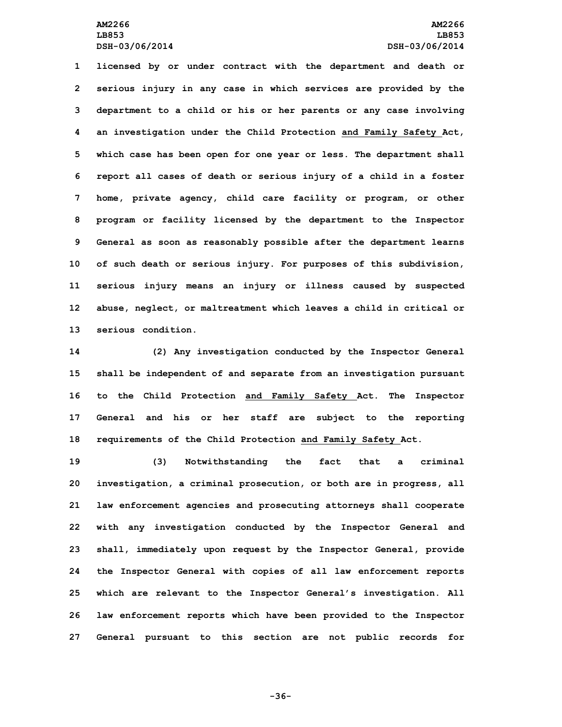**licensed by or under contract with the department and death or serious injury in any case in which services are provided by the department to <sup>a</sup> child or his or her parents or any case involving an investigation under the Child Protection and Family Safety Act, which case has been open for one year or less. The department shall report all cases of death or serious injury of <sup>a</sup> child in <sup>a</sup> foster home, private agency, child care facility or program, or other program or facility licensed by the department to the Inspector General as soon as reasonably possible after the department learns of such death or serious injury. For purposes of this subdivision, serious injury means an injury or illness caused by suspected abuse, neglect, or maltreatment which leaves <sup>a</sup> child in critical or serious condition.**

 **(2) Any investigation conducted by the Inspector General shall be independent of and separate from an investigation pursuant to the Child Protection and Family Safety Act. The Inspector General and his or her staff are subject to the reporting requirements of the Child Protection and Family Safety Act.**

 **(3) Notwithstanding the fact that <sup>a</sup> criminal investigation, <sup>a</sup> criminal prosecution, or both are in progress, all law enforcement agencies and prosecuting attorneys shall cooperate with any investigation conducted by the Inspector General and shall, immediately upon request by the Inspector General, provide the Inspector General with copies of all law enforcement reports which are relevant to the Inspector General's investigation. All law enforcement reports which have been provided to the Inspector General pursuant to this section are not public records for**

**-36-**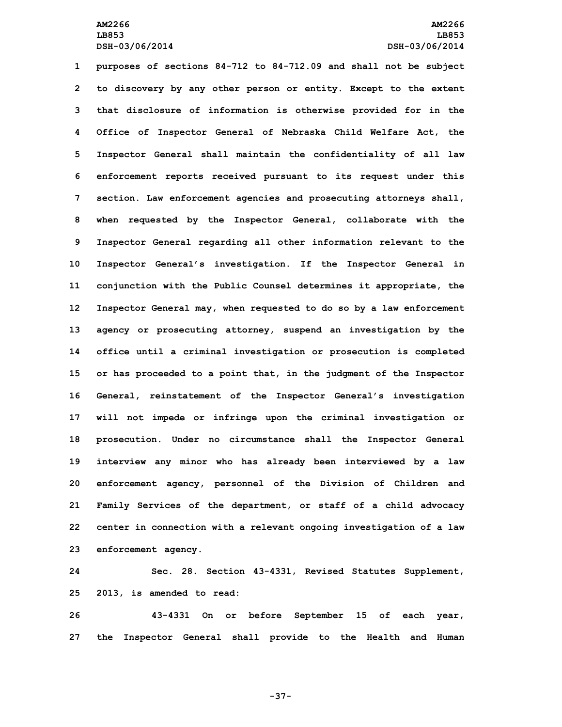**purposes of sections 84-712 to 84-712.09 and shall not be subject to discovery by any other person or entity. Except to the extent that disclosure of information is otherwise provided for in the Office of Inspector General of Nebraska Child Welfare Act, the Inspector General shall maintain the confidentiality of all law enforcement reports received pursuant to its request under this section. Law enforcement agencies and prosecuting attorneys shall, when requested by the Inspector General, collaborate with the Inspector General regarding all other information relevant to the Inspector General's investigation. If the Inspector General in conjunction with the Public Counsel determines it appropriate, the Inspector General may, when requested to do so by <sup>a</sup> law enforcement agency or prosecuting attorney, suspend an investigation by the office until <sup>a</sup> criminal investigation or prosecution is completed or has proceeded to <sup>a</sup> point that, in the judgment of the Inspector General, reinstatement of the Inspector General's investigation will not impede or infringe upon the criminal investigation or prosecution. Under no circumstance shall the Inspector General interview any minor who has already been interviewed by <sup>a</sup> law enforcement agency, personnel of the Division of Children and Family Services of the department, or staff of <sup>a</sup> child advocacy center in connection with <sup>a</sup> relevant ongoing investigation of <sup>a</sup> law enforcement agency.**

**24 Sec. 28. Section 43-4331, Revised Statutes Supplement, 25 2013, is amended to read:**

**26 43-4331 On or before September 15 of each year, 27 the Inspector General shall provide to the Health and Human**

**-37-**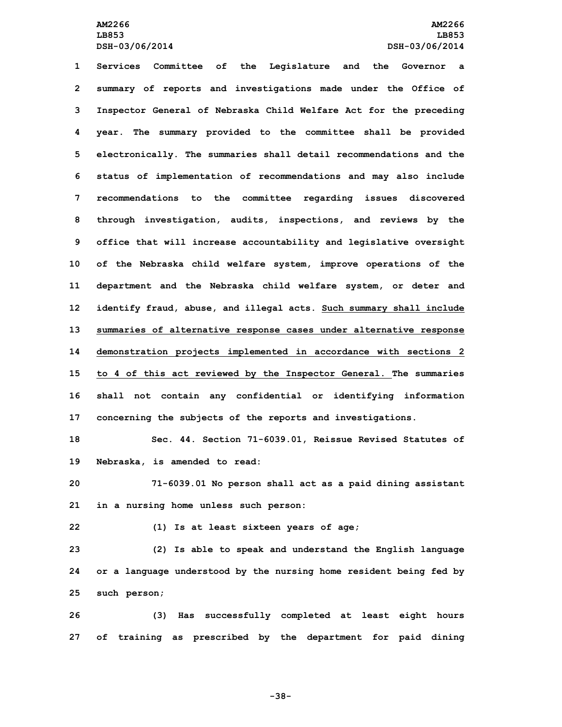**Services Committee of the Legislature and the Governor <sup>a</sup> summary of reports and investigations made under the Office of Inspector General of Nebraska Child Welfare Act for the preceding year. The summary provided to the committee shall be provided electronically. The summaries shall detail recommendations and the status of implementation of recommendations and may also include recommendations to the committee regarding issues discovered through investigation, audits, inspections, and reviews by the office that will increase accountability and legislative oversight of the Nebraska child welfare system, improve operations of the department and the Nebraska child welfare system, or deter and identify fraud, abuse, and illegal acts. Such summary shall include summaries of alternative response cases under alternative response demonstration projects implemented in accordance with sections 2 to 4 of this act reviewed by the Inspector General. The summaries shall not contain any confidential or identifying information concerning the subjects of the reports and investigations.**

**18 Sec. 44. Section 71-6039.01, Reissue Revised Statutes of 19 Nebraska, is amended to read:**

**20 71-6039.01 No person shall act as <sup>a</sup> paid dining assistant 21 in <sup>a</sup> nursing home unless such person:**

**22 (1) Is at least sixteen years of age;**

**23 (2) Is able to speak and understand the English language 24 or <sup>a</sup> language understood by the nursing home resident being fed by 25 such person;**

**26 (3) Has successfully completed at least eight hours 27 of training as prescribed by the department for paid dining**

**-38-**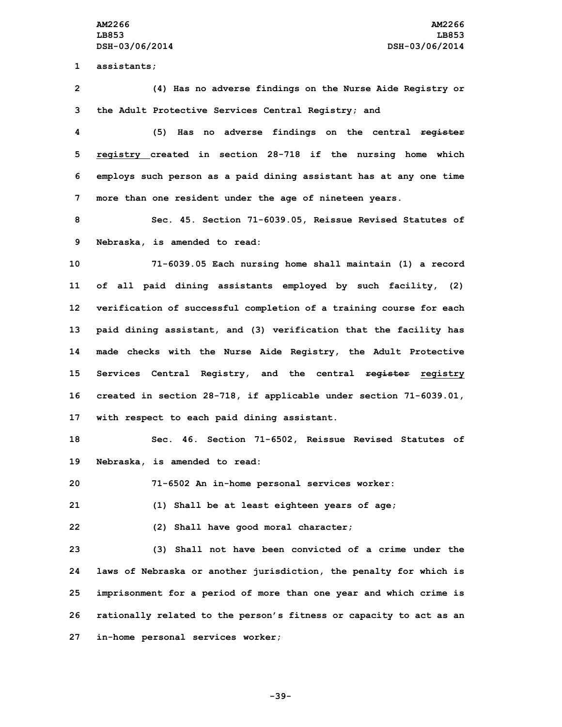**AM2266 AM2266 LB853 LB853 DSH-03/06/2014 DSH-03/06/2014**

**1 assistants;**

**2 (4) Has no adverse findings on the Nurse Aide Registry or 3 the Adult Protective Services Central Registry; and**

 **(5) Has no adverse findings on the central register registry created in section 28-718 if the nursing home which employs such person as <sup>a</sup> paid dining assistant has at any one time more than one resident under the age of nineteen years.**

**8 Sec. 45. Section 71-6039.05, Reissue Revised Statutes of 9 Nebraska, is amended to read:**

 **71-6039.05 Each nursing home shall maintain (1) <sup>a</sup> record of all paid dining assistants employed by such facility, (2) verification of successful completion of <sup>a</sup> training course for each paid dining assistant, and (3) verification that the facility has made checks with the Nurse Aide Registry, the Adult Protective Services Central Registry, and the central register registry created in section 28-718, if applicable under section 71-6039.01, with respect to each paid dining assistant.**

**18 Sec. 46. Section 71-6502, Reissue Revised Statutes of 19 Nebraska, is amended to read:**

**20 71-6502 An in-home personal services worker:**

**21 (1) Shall be at least eighteen years of age;**

**22 (2) Shall have good moral character;**

 **(3) Shall not have been convicted of <sup>a</sup> crime under the laws of Nebraska or another jurisdiction, the penalty for which is imprisonment for <sup>a</sup> period of more than one year and which crime is rationally related to the person's fitness or capacity to act as an in-home personal services worker;**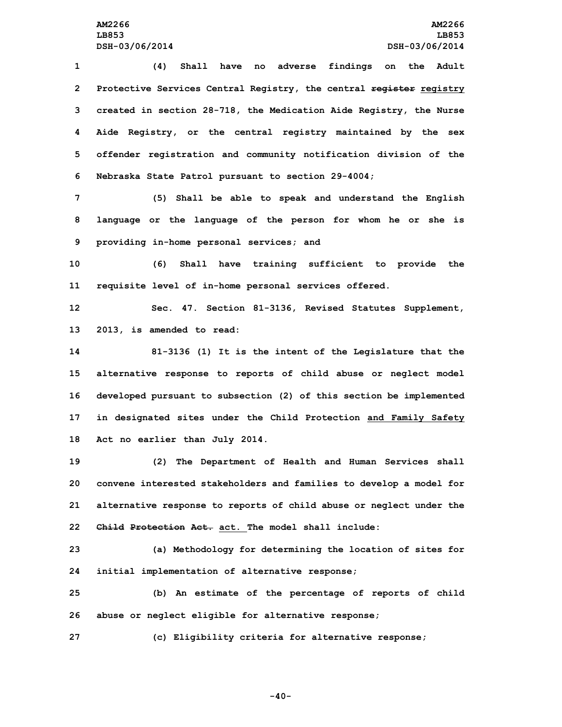**(4) Shall have no adverse findings on the Adult Protective Services Central Registry, the central register registry created in section 28-718, the Medication Aide Registry, the Nurse Aide Registry, or the central registry maintained by the sex offender registration and community notification division of the Nebraska State Patrol pursuant to section 29-4004;**

**7 (5) Shall be able to speak and understand the English 8 language or the language of the person for whom he or she is 9 providing in-home personal services; and**

**10 (6) Shall have training sufficient to provide the 11 requisite level of in-home personal services offered.**

**12 Sec. 47. Section 81-3136, Revised Statutes Supplement, 13 2013, is amended to read:**

 **81-3136 (1) It is the intent of the Legislature that the alternative response to reports of child abuse or neglect model developed pursuant to subsection (2) of this section be implemented in designated sites under the Child Protection and Family Safety Act no earlier than July 2014.**

 **(2) The Department of Health and Human Services shall convene interested stakeholders and families to develop <sup>a</sup> model for alternative response to reports of child abuse or neglect under the Child Protection Act. act. The model shall include:**

**23 (a) Methodology for determining the location of sites for 24 initial implementation of alternative response;**

**25 (b) An estimate of the percentage of reports of child 26 abuse or neglect eligible for alternative response;**

**27 (c) Eligibility criteria for alternative response;**

**-40-**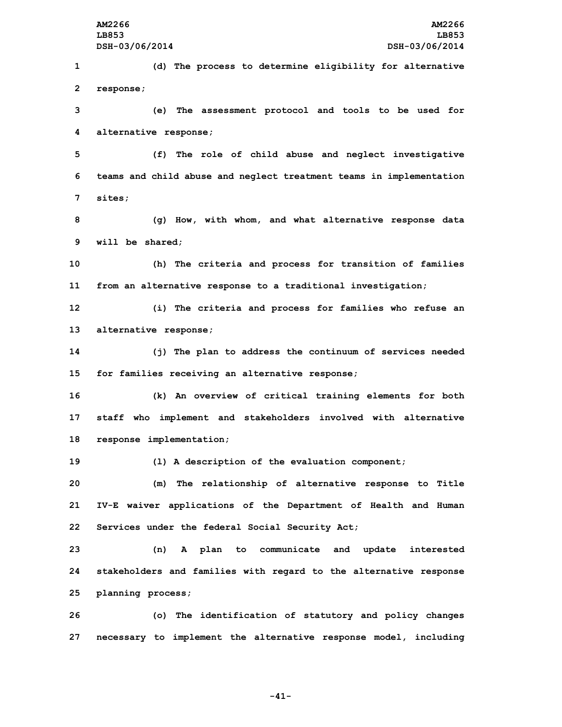**(d) The process to determine eligibility for alternative response; (e) The assessment protocol and tools to be used for alternative response; (f) The role of child abuse and neglect investigative teams and child abuse and neglect treatment teams in implementation 7 sites; (g) How, with whom, and what alternative response data will be shared; (h) The criteria and process for transition of families from an alternative response to <sup>a</sup> traditional investigation; (i) The criteria and process for families who refuse an alternative response; (j) The plan to address the continuum of services needed for families receiving an alternative response; (k) An overview of critical training elements for both staff who implement and stakeholders involved with alternative response implementation; (l) <sup>A</sup> description of the evaluation component; (m) The relationship of alternative response to Title IV-E waiver applications of the Department of Health and Human Services under the federal Social Security Act; (n) <sup>A</sup> plan to communicate and update interested stakeholders and families with regard to the alternative response planning process; (o) The identification of statutory and policy changes**

**27 necessary to implement the alternative response model, including**

**-41-**